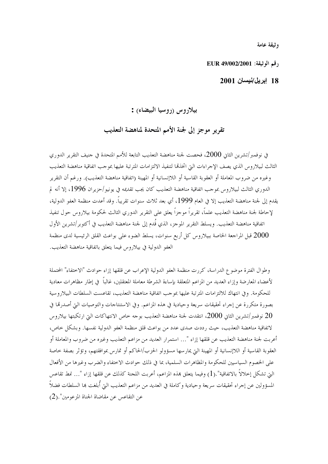وثيقة عامة

, قم الوثيقة: EUR 49/002/2001

#### 18 إبريل/نيسان 2001

### بيلاروس (روسيا البيضاء) :

تقرير موجز إلى لجنة الأمم المتحدة لمناهضة التعذيب

في نوفمبر/تشرين الثاني 2000، فحصت لجنة مناهضة التعذيب التابعة للأمم المتحدة في حنيف التقرير الدوري الثالث لبيلاروس الذي يصف الإحراءات التي اتخذها لتنفيذ الالتزامات المترتبة عليها بموحب اتفاقية مناهضة التعذيب وغيره من ضروب المعاملة أو العقوبة القاسية أو اللاإنسانية أو المهينة (اتفاقية مناهضة التعذيب). ورغم أن التقرير الدوري الثالث لبيلاروس بموجب اتفاقية مناهضة التعذيب كان يجب تقديمه في يونيو/حزيران 1996، إلا أنه لم يقدم إلى لجنة مناهضة التعذيب إلا في العام 1999، أي بعد ثلاث سنوات تقريباً. وقد أعدت منظمة العفو الدولية، لإحاطة لجنة مناهضة التعذيب علماً، تقريراً موجزاً يعلق على التقرير الدوري الثالث لحكومة بيلاروس حول تنفيذ اتفاقية مناهضة التعذيب. ويسلط التقرير الموجز، الذي قُدم إلى لجنة مناهضة التعذيب في أكتوبر/تشرين الأول قبل المراجعة الخاصة ببيلاروس كل أربع سنوات، يسلط الضوء على بواعث القلق الرئيسية لدى منظمة  $2000\,$ العفو الدولية في بيلاروس فيما يتعلق باتفاقية مناهضة التعذيب.

وطوال الفترة موضوع الدراسة، كررت منظمة العفو الدولية الإعراب عن قلقها إزاء حوادث "الاحتفاء" المحتملة لأعضاء المعارضة وإزاء العديد من المزاعم المتعلقة بإساءة الشرطة معاملة المعتقلين، غالباً ۖ في إطار مظاهرات معادية للحكومة. وفي انتهاك للالتزامات المترتبة عليها بموجب اتفاقية مناهضة التعذيب، تقاعست السلطات البيلاروسية بصورة متكررة عن إجراء تحقيقات سريعة وحيادية في هذه المزاعم. وفي الاستنتاجات والتوصيات التي أصدرها في نوفمبر/تشرين الثاني 2000، انتقدت لجنة مناهضة التعذيب بوحه خاص الانتهاكات التي ارتكبتها بيلاروس  $20\,$ لاتفاقية مناهضة التعذيب، حيث رددت صدى عدد من بواعث قلق منظمة العفو الدولية نفسها. وبشكل حاص، أعربت لجنة مناهضة التعذيب عن قلقها إزاء "… استمرار العديد من مزاعم التعذيب وغيره من ضروب والمعاملة أو العقوبة القاسية أو اللاإنسانية أو المهينة التي يمارسها مسؤولو الحزب/الحاكم أو تمارس بموافقتهم، وتؤثر بصفة حاصة على الخصوم السياسيين للحكومة والمظاهرات السلمية، بما في ذلك حوادث الاختفاء والضرب وغيرها من الأفعال التي تشكل إحلالاً بالاتفاقية".(1) وفيما يتعلق بمذه المزاعم، أعربت اللجنة كذلك عن قلقها إزاء "… نمط تقاعس المسؤولين عن إجراء تحقيقات سريعة وحيادية وكاملة في العديد من مزاعم التعذيب التي أُبلغت بما السلطات فضلاً عن التقاعس عن مقاضاة الجناة المزعومين".(2)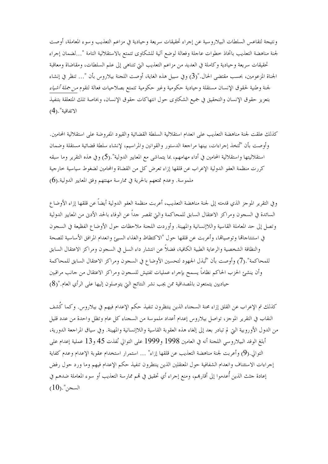ونتيجة لتقاعس السلطات البيلاروسية عن إجراء تحقيقات سريعة وحيادية في مزاعم التعذيب وسوء المعاملة، أوصت لجنة مناهضة التعذيب باتخاذ حطوات عاجلة وفعالة لوضع آلية للشكاوي تتمتع بالاستقلالية التامة "…لضمان إجراء تحقيقات سريعة وحيادية وكاملة في العديد من مزاعم التعذيب التي تتناهى إلى علم السلطات، ومقاضاة ومعاقبة الجناة المزعومين، بحسب مقتضى الحال."(3) وفي سبيل هذه الغاية، أوصت اللحنة بيلاروس بأن "… تنظر في إنشاء لجنة وطنية لحقوق الإنسان مستقلة وحيادية حكومية وغير حكومية تتمتع بصلاحيات فعالة لتقوم *من جملة أشياء* بتعزيز حقوق الإنسان والتحقيق في جميع الشكاوى حول انتهاكات حقوق الإنسان، وبخاصة تلك المتعلقة بتنفيذ الاتفاقية".(4)

كذلك علقت لجنة مناهضة التعذيب على انعدام استقلالية السلطة القضائية والقيود المفروضة على استقلالية المحامين. وأوصت بأن "تُتخذ إجراءات، بينها مراجعة الدستور والقوانين والمراسيم، لإنشاء سلطة قضائية مستقلة وضمان استقلاليتها واستقلالية المحامين في أداء مهامهم، بما يتماشى مع المعايير الدولية".(5) وفي هذه التقرير وما سبقه كررت منظمة العفو الدولية الإعراب عن قلقها إزاء تعرض كل من القضاة والمحامين لضغوط سياسية خارجية ملموسة. وعدم تمتعهم بالحرية في ممارسة مهنتهم وفق المعايير الدولية.(6)

وفي التقرير الموجز الذي قدمته إلى لجنة مناهضة التعذيب، أعربت منظمة العفو الدولية أيضاً عن قلقها إزاء الأوضاع السائدة في السجون ومراكز الاعتقال السابق للمحاكمة والتي تقصر جداً عن الوفاء بالحد الأدنى من المعايير الدولية وتصل إلى حد المعاملة القاسية واللاإنسانية والمهينة. وأوردت اللجنة ملاحظات حول الأوضاع الفظيعة في السجون في استنتاجاها وتوصياها، وأعربت عن قلقها حول "الاكتظاظ والغذاء السيئ وانعدام المرافق الأساسية للصحة والنظافة الشخصية والرعاية الطبية الكافية، فضلاً عن انتشار داء السل في السجون ومراكز الاعتقال السابق للمحاكمة".(7) وأوصت بأن "تُبذل الجهود لتحسين الأوضاع في السجون ومراكز الاعتقال السابق للمحاكمة وأن ينشئ الحزب الحاكم نظاماً يسمح بإجراء عمليات تفتيش للسجون ومراكز الاعتقال من حانب مراقبين حياديين يتمتعون بالمصداقية ممن يجب نشر النتائج التي يتوصلون إليها على الرأي العام."(8)

كذلك تم الإعراب عن القلق إزاء محنة السجناء الذين ينتظرون تنفيذ حكم الإعدام فيهم في بيلاروس. وكما كُشف النقاب في التقرير الموجز، تواصل بيلاروس إعدام أعداد ملموسة من السجناء كل عام وتظل واحدة من عدد قليل من الدول الأوروبية التي لم تبادر بعد إلى إلغاء هذه العقوبة القاسية واللاإنسانية والمهينة. وفي سياق المراجعة الدورية، أبلغ الوفد البيلاروسي اللجنة أنه في العامين 1998 و1999 على التوالي نُفذت 45 و13 عملية إعدام على التوالي.(9) وأعربت لجنة مناهضة التعذيب عن قلقها إزاء" … استمرار استخدام عقوبة الإعدام وعدم كفاية إجراءات الاستئناف وانعدام الشفافية حول المعتقلين الذين ينتظرون تنفيذ حكم الإعدام فيهم وما ورد حول رفض إعادة جثث الذين أُعدموا إلى أقاربهم، ومنع إجراء أي تحقيق في قمم ممارسة التعذيب أو سوء المعاملة ضدهم في  $(10)$ ." السجن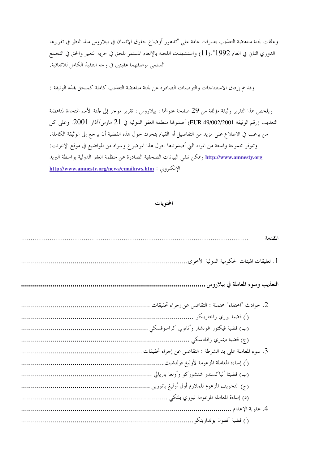وعلقت لجنة مناهضة التعذيب بعبارات عامة على "تدهور أوضاع حقوق الإنسان في بيلاروس منذ النظر في تقريرها الدوري الثاني في العام 1992".(11) واستشهدت اللجنة بالإلغاء المستمر للحق في حرية التعبير والحق في التجمع السلمي بوصفهما عقبتين في وحه التنفيذ الكامل للاتفاقية.

وقد تم إرفاق الاستنتاجات والتوصيات الصادرة عن لجنة مناهضة التعذيب كاملة كملحق بمذه الوثيقة :

ويلخص هذا التقرير وثيقة مؤلفة من 29 صفحة عنوالها : بيلاروس : تقرير موجز إلى لجنة الأمم المتحدة لمناهضة التعذيب (رقم الوثيقة 2000/2001/49 EUR) أصدرها منظمة العفو الدولية في 21 مارس/آذار 2001. وعلى كل من يرغب في الاطلاع على مزيد من التفاصيل أو القيام بتحرك حول هذه القضية أن يرجع إلى الوثيقة الكاملة. وتتوفر مجموعة واسعة من المواد التي أصدرناها حول هذا الموضوع وسواه من المواضيع في موقع الإنترنت: <u>http://www.amnesty.org</u> ويمكن تلقى البيانات الصحفية الصادرة عن منظمة العفو الدولية بواسطة البريد الإلكترون : http://www.amnesty.org/news/emailnws.htm

#### المحتويات

| المقدمة                                                  |
|----------------------------------------------------------|
| 1. تعليقات الهيئات الحكومية الدولية الأخرى               |
| التعذيب وسوء المعاملة في بيلاروس.                        |
|                                                          |
|                                                          |
| (ب) قضية فيكتور غونشار وأناتولي كراسوفسكي                |
| (ج) قضية ديمتري زافادسكي                                 |
| 3. سوء المعاملة على يد الشرطة : التقاعس عن إجراء تحقيقات |
| (أ) إساءة المعاملة المزعومة لأوليغ فولتشيك               |
|                                                          |
|                                                          |
| (د) إساءة المعاملة المزعومة ليوري بلنكي .                |
|                                                          |
| (أ) قضية أنطون بوندارينكو                                |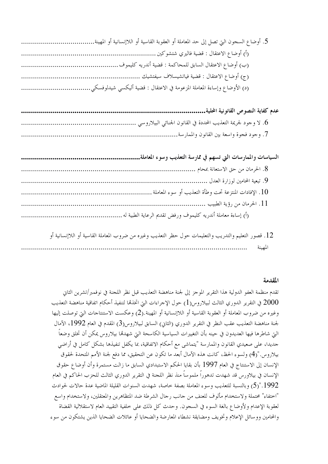| (ب) أوضاع الاعتقال السابق للمحاكمة : قضية أندريه كليموف |  |
|---------------------------------------------------------|--|
|                                                         |  |
|                                                         |  |

| السياسات والممارسات التي تسهم في ممارسة التعذيب وسوء المعاملة |
|---------------------------------------------------------------|
|                                                               |
|                                                               |
| 10. الإفادات المنتزعة تحت وطأة التعذيب أو سوء المعاملة ….     |
|                                                               |
|                                                               |

12. قصور التعليم والتدريب والتعليمات حول حظر التعذيب وغيره من ضروب المعاملة القاسية أو اللاإنسانية أو المهمنة

المقدمة

تقدم منظمة العفو الدولية هذا التقرير الموجز إلى لجنة مناهضة التعذيب قبل نظر اللجنة في نوفمبر/تشرين الثاني ي التقرير الدوري الثالث لبيلاروس(1) حول الإحراءات التي اتخذها لتنفيذ أحكام اتفاقية مناهضة التعذيب  $2000\,$ وغيره من ضروب المعاملة أو العقوبة القاسية أو اللاإنسانية أو المهينة.(2) وعكست الاستنتاجات التي توصلت إليها لجنة مناهضة التعذيب عقب النظر في التقرير الدوري (الثاني) السابق لبيلاروس(3) المقدم في العام 1992، الآمال التي شاطرها فيها العديدون في حينه بأن التغييرات السياسية الكاسحة التي شهدقما بيلاروس يمكن أن تخلق وضعاً جديدا، على صعيدي القانون والممارسة "يتماشى مع أحكام الاتفاقية، بما يكفل تنفيذها بشكل كامل في أراضي بيلاروس."(4) ولسوءِ الحظ، كانت هذه الآمال أبعد ما تكون عن التحقيق، مما دفع لجنة الأمم المتحدة لحقوق الإنسان إلى الاستنتاج في العام 1997 بأن بقايا الحكم الاستبدادي السابق ما زالت مستمرة وأن أوضاع حقوق الإنسان في بيلاورس قد شهدت تدهوراً ملموساً منذ نظر اللجنة في التقرير الدوري الثالث للحزب الحاكم في العام .1992."(5) وبالنسبة للتعذيب وسوء المعاملة بصفة خاصة، شهدت السنوات القليلة الماضية عدة حالات لحوادث "اختفاء" محتملة ولاستخدام مألوف للعنف من حانب رحال الشرطة ضد المتظاهرين والمعتقلين، ولاستخدام واسع لعقوبة الإعدام ولأوضاع بالغة السوء في السجون. وحدث كل ذلك على خلفية التقييد العام لاستقلالية القضاة والمحامين ووسائل الإعلام وتخويف ومضايقة نشطاء المعارضة والضحايا أو عائلات الضحايا الذين يشتكون من سوء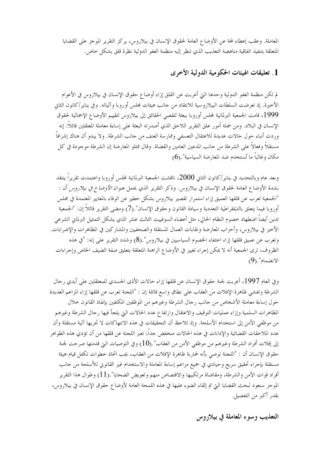المعاملة. وعقب إعطاء لمحة عن الأوضاع العامة لحقوق الإنسان في بيلاروس، يركز التقرير الموجز على القضايا المتعلقة بتنفيذ اتفاقية مناهضة التعذيب الذي تنظر إليه منظمة العفو الدولية نظرة قلق بشكل حاص.

### 1. تعليقات الهيئات الحكومية الدولية الأخرى

لم تكن منظمة العفو الدولية وحدها التي أعربت عن القلق إزاء أوضاع حقوق الإنسان في بيلاروس في الأعوام الأحيرة. إذ تعرضت السلطات البيلاروسية للانتقاد من حانب هيئات مجلس أوروبا وآلياته. وفي يناير/كانون الثاني 1999، قامت الجمعية البرلمانية لمجلس أوروبا ببعثة لتقصى الحقائق إلى بيلاروس لتقييم الأوضاع الإجمالية لحقوق الإنسان في البلاد. ومن جملة أمور علق التقرير اللاحق الذي أصدرته البعثة على إساءة معاملة المعتقلين قائلاً: إنه وردت أنباء حول حالات عديدة للاعتقال التعسفي وممارسة العنف من حانب الشرطة. ولا يبدو أن هناك إشرافاً مستقلاً وفعالاً على الشرطة من حانب المدعين العامين والقضاة. وقال ممثلو المعارضة إن الشرطة موجودة في كل مكان وغالباً ما تُستخدم ضد المعارضة السياسية".(6)

وبعد عام وبالتحديد في يناير /كانون الثاني 2000، ناقشت الجمعية البرلمانية لمجلس أوروبا واعتمدت تقريراً ينتقد بشدة الأوضاع العامة لحقوق الإنسان في بيلاروس. وذكر التقرير الذي يحمل عنوان *الأوضاع في بيلاروس* أن : "الجمعية تعرب عن قلقها العميق إزاء استمرار تقصير بيلاروس بشكل حطير عن الوفاء بالمعايير المعتمدة في مجلس أو, و با فيما يتعلق بالديمقر اطية التعددية و سيادة القانون و حقوق الإنسان".(7) ومضى التقرير قائلاً إن: "الجمعية تدين أيضاً اضطهاد خصوم النظام الحالي، مثل أعضاء السوفييت الثالث عشر الذي يشكل التمثيل البرلمان الشرعي الأخير في بيلاروس، وأحزاب المعارضة ونقابات العمال المستقلة والصحفيين والمشاركين في المظاهرات والإضرابات. وتعرب عن عميق قلقها إزاء احتفاء الخصوم السياسيين في بيلاروس".(8) وشدد التقرير على إنه: "في هذه الظروف، ترى الجمعية أنه لا يمكن إجراء تغيير في الأوضاع الراهنة المتعلقة بتعليق صفة الضيف الخاص وإجراءات  $(9)$ ."الانضمام

وفي العام 1997، أعربت لجنة حقوق الإنسان عن قلقها إزاء حالات الأذى الجسدي للمعتقلين على أيدي رحال الشرطة وتفشى ظاهرة الإفلات من العقاب على نطاق واسع قائلة إن : "اللجنة تعرب عن قلقها إزاء المزاعم العديدة حول إساءة معاملة الأشخاص من حانب رحال الشرطة وغيرهم من الموظفين المكلفين بإنفاذ القانون حلال المظاهرات السلمية وإزاء عمليات التوقيف والاعتقال وارتفاع عدد الحالات التي يلجأ فيها رحال الشرطة وغيرهم من موظفى الأمن إلى استخدام الأسلحة. وإذ تلاحظ أن التحقيقات في هذه الانتهاكات لا تجريها آلية مستقلة وأن عدد الملاحقات القضائية والإدانات في هذه الحالات منخفض حداً، تعبر اللجنة عن قلقها من أن تؤدي هذه الظواهر إلى إفلات أفراد الشرطة وغيرهم من موظفي الأمن من العقاب".(10) وفي التوصيات التيّ قدمتها صرحت لجنة حقوق الإنسان أن : "اللجنة توصى بأنه لمحاربة ظاهرة الإفلات من العقاب، يجب اتخاذ خطوات تكفل قيام هيئة مستقلة بإجراء تحقيق سريع وحيادي في جميع مزاعم إساءة المعاملة والاستخدام غير القانوين للأسلحة من حانب أفراد قوات الأمن والشرطة، ومقاضاة مرتكبيها والاقتصاص منهم وتعويض الضحايا".(11) وطوال هذا التقرير الموجز سنعود لبحث القضايا التي تم إلقاء الضوء عليها في هذه اللمحة العامة لأوضاع حقوق الإنسان في بيلاروس، بقدر أكبر من التفصيل.

التعذيب وسوء المعاملة في بيلاروس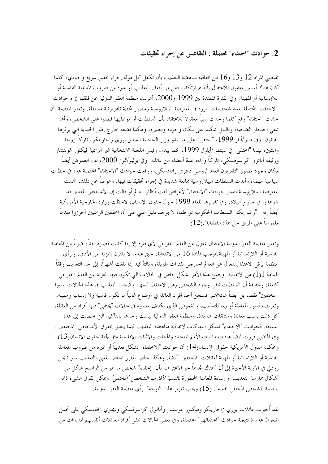### 2. حوادث "اختفاء" محتملة : التقاعس عن إجراء تحقيقات

تقتضي المواد 12 و13 و16 من اتفاقية مناهضة التعذيب بأن تكفل كل دولة إجراء تحقيق سريع وحيادي، كلما كان هناك أساس معقول للاعتقال بأنه تم ارتكاب فعل من أفعال التعذيب أو غيره من ضروب المعاملة القاسية أو اللاإنسانية أو المهينة. وفي الفترة الممتدة بين 1999 و2000، أعربت منظمة العفو الدولية عن قلقها إزاء حوادث "الاختفاء" المحتملة لعدة شخصيات بارزة في المعارضة البيلاروسية ومصور لمحطة تلفزيونية مستقلة. وتعتبر المنظمة بأن حادث "اختفاء" وقع كلما وجدت سبباً معقولاً للاعتقاد بأن السلطات أو موظفيها قبضوا على الشخص، وألها تنفي احتجاز الضحية، وبالتالي تتكتم على مكان وجوده ومصيره، وهكذا تضعه حارج إطار الحماية التي يوفرها القانون. وفي مايو/أيار 1999، "اختفى" على ما يبدو وزير الداخلية السابق يوري زاخارينكو، تاركاً زوجة وابنتين، بينما "اختفى" في سبتمبر/أيلول 1999، كما يبدو، رئيس اللجنة الانتخابية غير الرسمية فيكتور غونتشار ورفيقه أناتولي كراسوفسكي، تاركاً وراءه عدة أعضاء من عائلته. وفي يوليو/تموز 2000، لف الغموض أيضاً مكان وجود مصور التلفزيون العام الروسي ديمتري زافادسكي، ووقعت حوادث "الاختفاء" المحتملة هذه في لحظات سياسية مهمة، وأبدت السلطات البيلاروسية ممانعة شديدة في إجراء تحقيقات فيها. وعوضاً عن ذلك، اقممت المعارضة البيلاروسية بتدبير حوادث "الاختفاء" لأغراض لفت أنظار العالم أو قالت إن الأشخاص المعنيين قد شوهدوا في حارج البلاد. وفي تقريرها للعام 1999 حول حقوق الإنسان، لاحظت وزارة الخارجية الأمريكية أيضاً إنه : "رغم إنكار السلطات الحكومية تورطها، لا يوحد دليل علني على أن المحققين الرسميين أحرزوا تقدماً ملموساً على طريق حل هذه القضايا".(12)

وتعتبر منظمة العفو الدولية الاعتقال بمعزل عن العالم الخارجي لأي فترة إلا إذا كانت قصيرة جداً، ضرباً من المعاملة القاسية أو اللاإنسانية أو المهينة بموحب المادة 16 من الاتفاقية، حتى عندما لا يقترن بالمزيد من الأذى. وبرأي المنظمة يرقى الاعتقال بمعزل عن العالم الخارجي لفترات طويلة، وبالتأكيد إذا بلغت أشهراً، إلى حد التعذيب وفقاً للمادة 1(1) من الاتفاقية. ويصح هذا الأمر بشكل حاص في الحالات التي تكون فيها العزلة عن العالم الخارجي كاملة، وحقيقة أن السلطات تنفى وجود الشخص رهن الاعتقال لديها. وضحايا التعذيب في هذه الحالات ليسوا "المختفين" فقط، بل أيضاً عائلاتمم. فسجن أحد أفراد العائلة في أوضاع غالباً ما تكون قاسية ولا إنسانية ومهينة، وتعريضه لسوء المعاملة أو ربما للتعذيب، والغموض الذي يكتنف مصيره في حالات "يختفي" فيها أفراد من العائلة، كل ذلك يسبب معاناة ومشقات شديدة. ومنظمة العفو الدولية ليست وحدها بالتأكيد التي خلصت إلى هذه النتيجة. فحوادث "الاختفاء" تشكل انتهاكات لاتفاقية مناهضة التعذيب فيما يتعلق بحقوق الأشخاص "المختفين". وفي الماضي قررت أيضاً هيئات وآليات الأمم المتحدة والهيئات والآليات الإقليمية مثل لجنة حقوق الإنسان(13) ومحكمة الدول الأمريكية لحقوق الإنسان(14) أن حوادث "الاختفاء" تشكل تعذيباً أو غيره من ضروب المعاملة القاسية أو اللاإنسانية أو المهينة لعائلات "المختفين" أيضاً. وهكذا حلص المقرر الخاص المعنى بالتعذيب سير نايجل رودلي في الآونة الأخيرة إلى أن "هناك اتجاهاً نحو الاعتراف بأن "إخفاء" شخص ما هو من الواضح شكل من أشكال ممارسة التعذيب أو إساءة المعاملة المحظورة *بالنسبة لأقارب الشخص 'المختفي' ويم*كن القول الشيء ذاته بالنسبة للشخص المختفى نفسه". (15) ويجب تعزيز هذا "التوجه" برأى منظمة العفو الدولية.

لقد أُحبرت عائلات يوري زاحارينكو وفيكتور غونتشار وأناتولى كراسوفسكي وديمتري زافادسكي على تحمل ضغوط عديدة نتيجة حوادث "اختفائهم" المحتملة، وفي بعض الحالات تلقى أفراد العائلات أنفسهم تمديدات من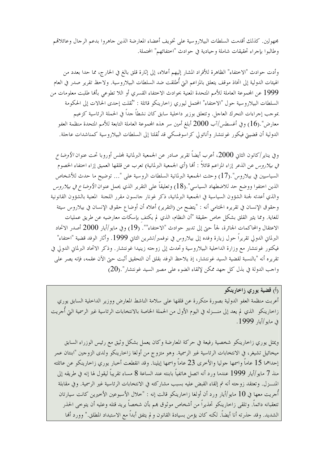مجهولين. كذلك أقدمت السلطات البيلاروسية على تخويف أعضاء المعارضة الذين حاهروا بدعم الرحال وعائلاقمم وطالبوا بإجراء تحقيقات شاملة وحيادية في حوادث "اختفائهم" المحتملة.

وأدت حوادث "الاختفاء" الظاهرة للأفراد المشار إليهم أعلاه، إلى إثارة قلق بالغ في الخارج، مما حدا بعدد من الهيئات الدولية إلى اتخاذ موقف يتعلق بالمزاعم التي أُطلقت ضد السلطات البيلاروسية. ولاحظ تقرير صدر في العام 1999 عن المحموعة العاملة للأمم المتحدة المعنية بحوادث الاختفاء القسري أو اللا تطوعي بألها طلبت معلومات من السلطات البيلاروسية حول "الاختفاء" المحتمل ليوري زاخارينكو قائلة : "نُقلت إحدى الحالات إلى الحكومة بموجب إجراءات التحرك العاجل. وتتعلق بوزير داخلية سابق كان نشطاً جداً في الحملة الرئاسية كزعيم معارض".(16) وفي أغسطس/آب 2000 أبلغ أمين سر هذه المحموعة العاملة التابعة للأمم المتحدة منظمة العفو الدولية أن قضييتي فيكور غونتشار وأناتولي كراسوفسكي قد نُقلتا إلى السلطات البيلاروسية كمناشدات عاجلة.

و في يناير /كانون الثاني 2000، أعرب أيضاً تقرير صادر عن الجمعية البرلمانية لمجلس أوروبا تحت عنوان *الأوضاع في بيلاروس عن* الذعر إزاء المزاعم قائلاً : ألها (أي الجمعية البرلمانية) تعرب عن قلقها العميق إزاء اختفاء الخصوم السياسيين في بيلاروس".(17) وحثت الجمعية البرلمانية السلطات الروسية على "… توضيح ما حدث للأشخاص الذين اختفوا ووضع حد للاضطهاد السياسي".(18) وتعليقاً على التقرير الذي يحمل عنوان *الأوضاع في بيلاروس* والذي أعدته لجنة الشؤون السياسية في الجمعية البرلمانية، ذكر غونار حانسون مقرر اللحنة المعنية بالشؤون القانونية وحقوق الإنسان في تقريره الختامي أنه : "يتضح من (التقرير) أعلاه أن أوضاع حقوق الإنسان في بيلاروس سيئة للغاية. ومما يثير القلق بشكل حاص حقيقة "أن النظام، الذي لم يكتف بإسكات معارضيه عن طريق عمليات الاعتقال والمحاكمات الجائرة، لجأ حيّ إلى تدبير حوادث "الاختفاء"". (19) وفي مايو/أيار 2000 أصدر الاتحاد البرلماني الدولي تقريراً حول زيارة وفده إلى بيلاروس في نوفمبر/تشرين الثاني 1999. وأثار الوفد قضية "اختفاء" فيكتور غونتشار مع وزارة الداخلية البيلاروسية وتحدث إلى زوجته زينيدا غونتشار . وذكر الاتحاد البرلماني الدولي في تقريره أنه "بالنسبة لقضية السيد غونتشار، إذ يلاحظ الوفد بقلق أن التحقيق أثبت حتى الآن عقمه، فإنه يصر على واحب الدولة في بذل كل حهد ممكن لإلقاء الضوء على مصير السيد غونتشار".(20)

رأ<sub>)</sub> قضية يورى زاخارينكو أعربت منظمة العفو الدولية بصورة متكررة عن قلقها على سلامة الناشط المعارض ووزير الداحلية السابق يوري زاحارينكو الذي لم يعد إلى منـــزله في اليوم الأول من الحملة الحاصة بالانتخابات الرئاسية غير الرسمية التي أجريت في مايو /أيار 1999.

ويمثل يوري زاحارينكو شخصية رفيعة في حركة المعارضة وكان يعمل بشكل وثيق مع رئيس الوزراء السابق ميخائيل تشيغر، في الانتخابات الرئاسية غير الرسمية. وهو متزوج من أولغا زاخارينكو ولدى الزوجين "ابنتان عمر إحداهما 15 عاماً واسمها جوليا والأخرى 23 عاماً واسمها إيلينا. وقد انقطعت أخبار يوري زاحارينكو عن عائلته منذ 7 مايو/أيار 1999 عندما ورد أنه اتصل هاتفياً بابنته عند الساعة 8 مساء تقريباً ليقول لها إنه في طريقه إلى المنسـزل. وتعتقد زوجته أنه تم إلقاء القبض عليه بسبب مشاركته في الانتخابات الرئاسية غير الرسمية. وفي مقابلة أُجريت معها في 10 مايو/أيار ورد أن أولغا زاحارينكو قالت إنه : "خلال الأسبوعين الأخيرين كانت سيارتان تتعقبانه دائماً. وتلقى زاحارينكو تحذيراً من أشخاص موثوق بمم بأن شخصاً يريد قتله وعليه أن يتوحى الحذر الشديد. وقد حذرته أنا أيضاً. لكنه كان يؤمن بسيادة القانون و لم يتفق أبداً مع الاستبداد المطلق." وورد أنها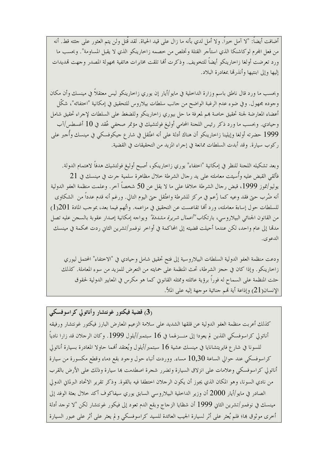أضافت أيضاً: "لا آمل حيراً. ولا أمل لدى بأنه ما زال على قيد الحياة. لقد قُتل ولن يتم العثور على حثته قط. أنه من فعل المحرم لوكاشنكا الذي استأجر القتلة وتخلص من خصمه زاخارينكو الذي لا يقبل المساومة". وبحسب ما ورد تعرضت أولغا زاحارينكو أيضاً للتخويف. وذكرت ألها تلقت مخابرات هاتفية مجهولة المصدر وحهت تمديدات إليها وإلى ابنتيها وأنذرتما بمغادرة البلاد.

وبحسب ما ورد قال ناطق باسم وزارة الداخلية في مايو/أيار إن يوري زاخارينكو ليس معتقلاً في مينسك وأن مكان وجوده مجهول. وفي ضوء عدم الرغبة الواضح من حانب سلطات بيلاروس للتحقيق في إمكانية "اختفائه"، شكّل أعضاء المعارضة لجنة تحقيق خاصة بمم لمعرفة ما حل بيوري زاحارينكو وللضغط على السلطات لإجراء تحقيق شامل وحيادي. وبحسب ما ورد ذكر رئيس اللحنة المحامي أوليغ فولتشيك في مؤتمر صحفي عُقد في 10 أغسطس/آب 1999 حضرته أولغا وإيلينا زاحارينكو أن هناك أدلة على أنه اعتُقل في شار ع حيكوفسكي في مينسك وأُحبر على ركوب سيارة. وقد أبدت السلطات ممانعة في إجراء المزيد من التحقيقات في القضية.

وبعد تشكيله اللجنة للنظر في إمكانية "اختفاء" يوري زاحارينكو، أصبح أوليغ فولتشيك هدفاً لاهتمام الدولة. فألقى القبض عليه وأُسيئت معاملته على يد رحال الشرطة خلال مظاهرة سلمية جرت في مينسك في 21 يوليو/تموز 1999، قبض رجال الشرطة حلالها على ما لا يقل عن 50 شخصاً آخر. وعلمت منظمة العفو الدولية أنه ضُرب حتى فقد وعيه كما زُعم في مركز للشرطة واعتُقل حتى اليوم التالي. ورغم أنه قدم عدداً من الشكاوى للسلطات حول إساءة معاملته، ورد ألها تقاعست عن التحقيق في مزاعمه. واتُهم فيما بعد، بموجب المادة 201{1} من القانون الجنائبي البيلاروسي، بارتكاب *"أعمال شريرة مشددة"* ويواجه إمكانية إصدار عقوبة بالسجن عليه تصل مدمّا إلى عام واحد، لكن عندما أحيلت قضيته إلى المحاكمة في أواخر نوفمبر/تشرين الثاني ردت محكمة في مينسك الدعوي.

ودعت منظمة العفو الدولية السلطات البيلاروسية إلى فتح تحقيق شامل وحيادي في "الاختفاء" المحتمل ليوري زاحارينكو . وإذا كان في حجز الشرطة، تحتْ المنظمة على حمايته من التعرض للمزيد من سوء المعاملة. كذلك حثت المنظمة على السماح له فوراً برؤية عائلته وممثله القانوين كما هو مكرس في المعايير الدولية لحقوق الإنسان(21) وإذاعة أية تمم جنائية موجهة إليه على الملأ.

(3) قضیة فیکتور غونتشار وأناتولی کراسوفسکی كذلك أعربت منظمة العفو الدولية عن قلقها الشديد على سلامة الزعيم المعارض البارز فيكتور غونتشار ورفيقه أناتولي كراسوفسكي اللذين لم يعودا إلى منـــزلهما في 16 سبتمبر/أيلول 1999. وكان الرحلان قد زارا نادياً للسونا في شارع فايريتشانايا في مينسك عشية 16 سبتمبر/أيلول ويُعتقد ألهما حاولا المغادرة بسيارة أناتولى كراسوفسكي عند حوالي الساعة 10٫30 مساء. ووردت أنباء حول وجود بقع دماء وقطع مكسورة من سيارة أناتولي كراسوفسكي وعلامات على انزلاق السيارة وتضرر شجرة اصطدمت بما سيارة وذلك على الأرض بالقرب من نادي السونا، وهو المكان الذي يجوز أن يكون الرحلان اختطفا فيه بالقوة. وذكر تقرير الاتحاد البرلماني الدولي الصادر في مايو/أيار 2000 أن وزير الداخلية البيلاروسي السابق يوري سيفاكوف أكد خلال بعثة الوفد إلى مينسك في نوفمبر/تشرين الثاني 1999 أن شظايا الزحاج وبقع الدم تعود إلى فيكور غونتشار لكن "لا توحد أدلة أخرى موثوق بما؛ فلم يُعثر على أثر لسيارة الجيب العائدة للسيد كراسوفسكي و لم يعثر على أثر على عبور السيارة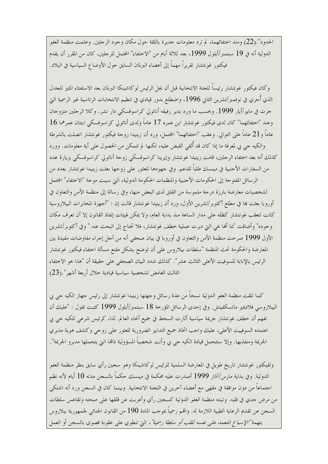الحدود".(22) ومنذ اختفائهما، لم ترد معلومات حديرة بالثقة حول مكان وجود الرحلين. وعلمت منظمة العفو الدولية أنه في 19 سبتمبر/أيلول 1999، بعد ثلاثة أيام من "الاختفاء" المحتمل للرحلين، كان من المقرر أن يقدم فيكتور غونتشار تقريراً مهماً إلى أعضاء البرلمان السابق حول الأوضاع السياسية في البلاد.

وكان فيكتور غونتشار رئيساً للحنة الانتخابية قبل أن يحل الرئيس لوكاشينكا البرلمان بعد الاستفتاء المثير للحدل الذي أُجرى في نوفمبر/تشرين الثاني 1996، واضطلع بدور قيادي في تنظيم الانتخابات الرئاسية غير الرسمية التي جرت في مايو/أيار 1999. وبحسب ما ورد يدير رفيقه أناتولي كراسوفسكي دار نشر. وكلا الرجلين متزوجان وعند "احتفائهما" كان لدى فيكتور غونتشار ابن عمره 17 عاماً ولدى أناتولى كراسوفسكي ابنتان عمرهما 16 عاماً و21 عاماً على التوالي. وعقب "اختفائهما" المحتمل، ورد أن زينيدا زوجة فيكتور غونتشار اتصلت بالشرطة والكيه جي بي لمعرفة ما إذا كان قد ألقى القبض عليه، لكنها لم تتمكن من الحصول على أية معلومات. وورد كذلك أنه بعد اختفاء الرحلين، قامت زينيدا غونتشار وإيرينا كراسوفسكي زوحة أناتولي كراسوفسكي بزيارة عدد من السفارات الأحنبية في مينسك طلباً للدعم. وفي حهودها للعثور على زوحها بعثت زينيدا غونتشار بعدد من الرسائل المفتوحة إلى الحكومات الأجنبية والمنظمات الحكومة الدولية، التي سببت موجة "الاختفاء" المحتمل لشخصيات معارضة بارزة درجة ملموسة من القلق لدى البعض منها، وفي رسالة إلى منظمة الأمن والتعاون في أوروبا بعثت بما في مطلع أكتوبر/تشرين الأول، ورد أن زينيدا غونتشار قالت إن : "أحهزة المخابرات البيلاروسية كانت تتعقب غونتشار كظله على مدار الساعة منذ بداية العام، ولا يمكن لهيئات إنفاذ القانون إلا أن تعرف مكان وجوده" وأضافت "بما أُها هي التي دبرت عملية خطف غونتشار، فلا تحتاج إلى البحث عنه." وفي أكتوبر/تشرين الأول 1999 صرحت منظمة الأمن والتعاون في أوروبا في بيان صحفي أنه من أحل إجراء مفاوضات مفيدة بين المعارضة والحكومة تحث المنظمة "سلطات بيلاروس على أن توضح بشكل مقنع مسألة اختفاء فيكتور غونتشار الرئيس بالإنابة للسوفيت الأعلى الثالث عشر". كذلك شدد البيان الصحفي على حقيقة أن "هذا هو الاختفاء الثالث الغامض لشخصية سياسية قيادية خلال أربعة أشهر".(23)

كما تلقت منظمة العفو الدولية نسخاً من عدة رسائل وجهتها زينيدا غونتشار إلى رئيس جهاز الكيه جي بي البيلاروسي فلاديمير ماتسكفيتش. وفي إحدى الرسائل المؤرخة 18 سبتمبر/أيلول 1999 كتبت تقول : "عليك أن تفهم أن خطف غونتشار حريمة سياسية أثارت السخط في جميع أنحاء العالم. لذا، كرئيس شرعي للكيه جي بي اعتمده السوفييت الأعلى، عليك واحب اتخاذ جميع التدابير الضرورية للعثور على زوجي وكشف هوية مدبري الجريمة ومنفذيها. وإلا ستتحمل قيادة الكيه جي بي وأنت شخصياً المسؤولية ذاقما التي يتحملها مدبرو الجريمة".

ولفيكتور غونتشار تاريخ طويل في المعارضة السلمية للرئيس لوكاشينكا وهو سحين رأي سابق بنظر منظمة العفو الدولية. وفي بداية مارس/آذار 1999 أصدرت عليه محكمة في مينسك حكماً بالسجن مدته 10 أيام لأنه نظم اجتماعاً من دون موافقة في مقهى مع أعضاء آخرين في اللجنة الانتخابية. وبينما كان في السجن ورد أنه اشتكى من مرض جدي في قلبه. وتبنته منظمة العفو الدولية كسجين رأي وأعربت عن قلقها على صحته وتقاعس سلطات السجن عن تقديم الرعاية الطبية اللازمة له. واقمم رسمياً بموجب المادة 190 من القانون الجنائي لجمهورية بيلاروس بتهمة "الإسب*اغ المتعمد على نفسه للقب أو سلطة رسمية"*، التي تنطوي على عقوبة قصوى بالسجن أو العمل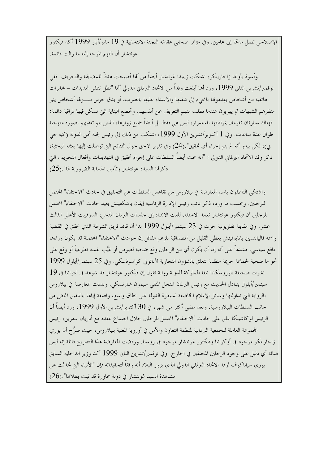الإصلاحي تصل مدمًا إلى عامين. وفي مؤتمر صحفي عقدته اللجنة الانتخابية في 19 مايو/أيار 1999 أكد فيكتور غو نتشار أن التهم الموجه إليه ما زالت قائمة.

وأسوة بأولغا زاخارينكو، اشتكت زينيدا غونتشار أيضاً من أنما أصبحت هدفاً للمضايقة والتخويف. ففي نوفمبر/تشرين الثاني 1999، ورد ألها أبلغت وفداً من الإتحاد البرلماني الدولي ألها "تظل تتلقى قمديدات – مخابرات هاتفية من أشخاص يهددوها بالجيء إلى شقتها والاعتداء عليها بالضرب، أو يدق جرس منسزطا أشخاص يثير منظرهم الشبهات ثم يهربون عندما تطلب منهم التعريف عن أنفسهم. وتخضع البناية التي تسكن فيها لمراقبة دائمة: فهناك سيارتان تقومان بمراقبتها باستمرار، ليس هي فقط بل أيضاً جميع زوارها، الذين يتم تعقبهم بصورة منهجية طوال عدة ساعات. وفي 1 أكتوبر/تشرين الأول 1999، اشتكت من ذلك إلى رئيس لجنة أمن الدولة (كيه جي بي)، لكن يبدو أنه لم يتم إجراء أي تحقيق".(24) وفي تقرير لاحق حول النتائج التي توصلت إليها بعثته البحثية، ذكر وفد الاتحاد البرلماني الدولي : "أنه يحث أيضاً السلطات على إجراء تحقيق في التهديدات وأفعال التخويف التي ذكرتما السيدة غونتشار وتأمين الحماية الضرورية لها".(25)

واشتكى الناطقون باسم المعارضة في بيلاروس من تقاعس السلطات عن التحقيق في حادث "الاختفاء" المحتمل للرجلين. وبحسب ما ورد، ذكر نائب رئيس الإدارة الرئاسية إيفان باشكفيتش بعيد حادث "الاختفاء" المحتمل للرجلين أن فيكتور غونتشار تعمد الاحتفاء للفت الانتباه إلى جلسات البرلمان المنحل، السوفييت الأعلى الثالث عشر . وفي مقابلة تفلزيونية جرت في 23 سبتمبر/أيلول 1999 بدا أن قائد فريق الشرطة الذي يحقق في القضية واسمه فاليانتسين باتابوفيتش يعطى القليل من المصداقية للزعم القائل إن حوادث "الاختفاء" المحتملة قد يكون وراءها دافع سياسي، مشدداً على أنه إما أن يكون أي من الرحلين وقع ضحية لصوص أو غيَّب نفسه تطوعياً أو وقع على نحو ما ضحية لجماعة جريمة منظمة تتعلق بالشؤون التجارية لأناتولي كراسوفسكي. وفي 25 سبتمبر/أيلول 1999 نشرت صحيفة بلوروسكايا نيفا المملوكة للدولة رواية تقول إن فيكتور غونتشار قد شوهد في ليتوانيا في 19 سبتمبر/أيلول يتبادل الحديث مع رئيس البرلمان المنحل المنفي سيمون شارتسكي. ونددت المعارضة في بيلاروس بالرواية التي تداولتها وسائل الإعلام الخاضعة لسيطرة الدولة على نطاق واسع، واصفة إياها بالتلفيق المحض من حانب السلطات البيلاروسية. وبعد مضي أكثر من شهر، في 30 أكتوبر/تشرين الأول 1999، ورد أيضاً أن الرئيس لو كاشينكا علق على حادث "الاختفاء" المحتمل للرجلين خلال اجتماع عقده مع أدريان سفرين، رئيس المحموعة العاملة للجمعية البرلمانية لمنظمة التعاون والأمن في أوروبا المعنية ببيلاروس، حيث صرَّح أن يوري زاحارينكو موجود في أوكرانيا وفيكتور غونتشار موجود في روسيا. ورفضت المعارضة هذا التصريح قائلة إنه ليس هناك أي دليل على وجود الرحلين المختفين في الخارج. وفي نوفمبر/تشرين الثاني 1999 أكد وزير الداخلية السابق يوري سيفاكوف لوفد الاتحاد البرلماني الدولي الذي يزور البلاد أنه وفقاً لتحقيقاته فإن "الأنباء التي تحدثت عن مشاهدة السيد غونتشار في دولة محاورة قد ثبت بطلالها".(26)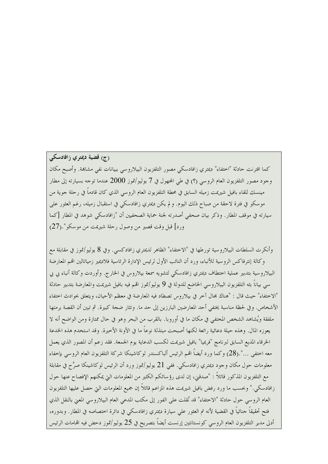### (ج) قضية ديمتري زافادسكي

كما اقترنت حادثة "اختفاء" ديمتري زافادسكي مصور التلفزيون البيلاروسي ببيانات نفي مشاهة. وأصبح مكان وجود مصور التلفزيون العام الروسي (؟) في طي المحهول في 7 يوليو/تموز 2000 عندما توجه بسيارته إلى مطار مينسك للقاء بافيل شيريمت زميله السابق في محطة التلفزيون العام الروسي الذي كان قادماً في رحلة جوية من موسكو في فترة لاحقة من صباح ذلك اليوم. و لم يكن ديمتري زافادسكي في استقبال زميله، رغم العثور على سيارته في موقف المطار. وذكر بيان صحفي أصدرته لجنة حماية الصحفيين أن "زافادسكي شوهد في المطار [كما ورد] قبل وقت قصير من وصول رحلة شيريمت من موسكو".(27)

وأنكرت السلطات البيلاروسية تورطها في "الاختفاء" الظاهر لديمتري زافادكسي. وفي 8 يوليو/تموز في مقابلة مع وكالة إنترفاكس الروسية للأنباء، ورد أن النائب الأول لرئيس الإدارة الرئاسية فلاديمير زمياتالين اقمم المعارضة البيلاروسية بتدبير عملية اختطاف ديمتري زافادسكي لتشويه سمعة بيلاروس في الخارج. وأوردت وكالة أنباء بي بي سي بياناً بثه التلفزيون البيلاروسي الخاضع للدولة في 9 يوليو/تموز اقمم فيه بافيل شيريمت والمعارضة بتدبير حادثة "الاختفاء" حيث قال : "هناك مجال آخر في بيلاروس تصطاد فيه المعارضة في معظم الأحيان، ويتعلق بحوادث اختفاء الأشخاص. وفي لحظة مناسبة يختفي أحد المعارضين البارزين إلى حد ما. وتثار ضحة كبيرة. ثم تبين أن القصة برمتها ملفقة ويُشاهد الشخص المختفى في مكان ما في أوروبا. بالقرب من البحر وهو في حال ممتازة ومن الواضح أنه لا يعوزه المال. وهذه حيلة دعائية رائعة لكنها أصبحت مبتذلة نوعاً ما في الآونة الأخيرة. وقد استخدم هذه الخدعة الخرقاء المذيع السابق لبرنامج "فريميا" بافيل شيريمت لكسب الدعاية يوم الجمعة. فقد زعم أن المصور الذي يعمل معه اختفى …".(28) وكما ورد أيضاً اقمم الرئيس ألباكسندر لوكاشينكا شركة التلفزيون العام الروسى بإخفاء معلومات حول مكان وحود ديمتري زافادسكي. ففي 21 يوليو/تموز ورد أن الرئيس لوكاشينكا صرَّح في مقابلة مع التلفزيون المذكور قائلاً : "صدقين، إن لدى رؤ سائكم الكثير من المعلومات التي يمكنهم الإفصاح عنها حول زافادسكي." وبحسب ما ورد رفض بافيل شيريمت هذه المزاعم قائلاً إن جميع المعلومات التي حصل عليها التلفزيون العام الروسي حول حادثة "الاختفاء" قد نُقلت على الفور إلى مكتب المدعى العام البيلاروسي المعنى بالنقل الذي فتح تحقيقاً جنائياً في القضية لأنه تم العثور على سيارة ديمتري زافادسكي في دائرة اختصاصه في المطار. وبدوره، أدلى مدير التلفزيون العام الروسي كونستانتين إرنست أيضاً بتصريح في 25 يوليو/تموز دحض فيه اقمامات الرئيس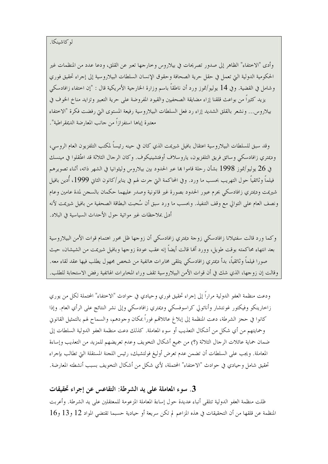وأدى "الاختفاء" الظاهر إلى صدور تصريحات في بيلاروس وخارجها تعبر عن القلق، ودعا عدد من المنظمات غير الحكومية الدولية التي تعمل في حقل حرية الصحافة وحقوق الإنسان السلطات البيلاروسية إلى إجراء تحقيق فوري وشامل في القضية. وفي 14 يوليو/تموز ورد أن ناطقاً باسم وزارة الخارجية الأمريكية قال : "إن اختفاء زافادسكي يزيد كثيراً من بواعث قلقنا إزاء مضايقة الصحفيين والقيود المفروضة على حرية التعبير وتزايد مناخ الخوف في بيلاروس... ونشعر بالقلق الشديد إزاء رد فعل السلطات البيلاروسية رفيعة المستوى التي رفضت فكرة "الاختفاء معتبرة إياها استفزازاً من حانب المعارضة الديمقراطية".

وقد سبق للسلطات البيلاروسية اعتقال بافيل شيريمت الذي كان في حينه رئيساً لمكتب التلفزيون العام الروسي، وديمتري زافادسكي وسائق فريق التلفزيون، ياروسلاف أوفتشينيكوف. وكان الرحال الثلاثة قد اعتُقلوا في مينسك في 26 يوليو/تموز 1998 بشأن رحلة قاموا بما عبر الحدود بين بيلاروس وليثوانيا في الشهر ذاته، أثناء تصويرهم فيلماً وثائقياً حول التهريب بحسب ما ورد. وفي المحاكمة التي حرت لهم في يناير/كانون الثاني 1999، أدين بافيل شيريمت وديمتري زافادسكي بجرم عبور الحدود بصورة غير قانونية وصدر عليهما حكمان بالسجن لمدة عامين وعام ونصف العام على التوالي مع وقف التنفيذ. وبحسب ما ورد سبق أن سُحبت البطاقة الصحفية من بافيل شيريمت لأنه أدلى بملاحظات غير مواتية حول الأحداث السياسية في البلاد.

وكما ورد قالت سفتيلانا زافادسكي زوجة ديمتري زافادسكي أن زوجها ظل محور اهتمام قوات الأمن البيلاروسية بعد انتهاء محاكمته بوقت طويل، وورد ألها قالت أيضاً إنه عقب عودة زوجها وبافيل شيريمت من الشيشان، حيث صورا فيلما وثائقيا، بدأ ديمتري زافادسكي يتلقى مخابرات هاتفية من شخص مجهول يطلب فيها عقد لقاء معه. وقالت إن زوجها، الذي شك في أن قوات الأمن البيلاروسية تقف وراء المخابرات الهاتفية رفض الاستجابة للطلب.

ودعت منظمة العفو الدولية مراراً إلى إجراء تحقيق فوري وحيادي في حوادث "الاختفاء" المحتملة لكل من يوري زاحارينكو وفيكتور غونتشار وأناتولي كراسوفسكي وديمتري زافادسكي وإلى نشر النتائج على الرأي العام. وإذا كانوا في حجز الشرطة، دعت المنظمة إلى إبلاغ عائلاقمم فوراً بمكان وجودهم، والسماح لهم بالتمثيل القانوين وحمايتهم من أي شكل من أشكال التعذيب أو سوءِ المعاملة. كذلك دعت منظمة العفو الدولية السلطات إلى ضمان حماية عائلات الرحال الثلاثة (؟) من جميع أشكال التخويف وعدم تعريضهم للمزيد من التعذيب وإساءة المعاملة. ويجب على السلطات أن تضمن عدم تعرض أوليغ فولتشيك، رئيس اللجنة المستقلة التي تطالب بإجراء تحقيق شامل وحيادي في حوادث "الاختفاء" المحتملة، لأي شكلٍ من أشكال التخويف بسبب أنشطته المعارضة.

3. سوء المعاملة على يد الشرطة: التقاعس عن إجراء تحقيقات

ظلت منظمة العفو الدولية تتلقى أنباء عديدة حول إساءة المعاملة المزعومة للمعتقلين على يد الشرطة. وأعربت المنظمة عن قلقها من أن التحقيقات في هذه المزاعم لم تكن سريعة أو حيادية حسبما تقتضي المواد 12 و13 و16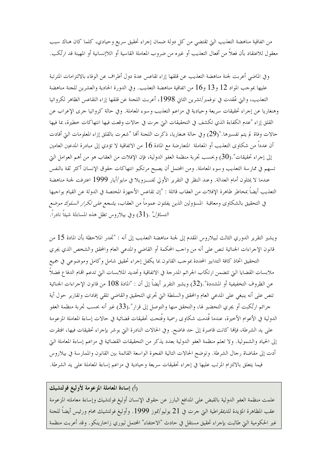من اتفاقية مناهضة التعذيب التي تقتضي من كل دولة ضمان إحراء تحقيق سريع وحيادي، كلما كان هناك سبب معقول للاعتقاد بأن فعلاً من أفعال التعذيب أو غيره من ضروب المعاملة القاسية أو اللاإنسانية أو المهينة قد ارتُكب.

وفي الماضي أعربت لجنة مناهضة التعذيب عن قلقها إزاء تقاعس عدة دول أطراف عن الوفاء بالالتزامات المترتبة عليها بموجب المواد 12 و13 و16 من اتفاقية مناهضة التعذيب. وفي الدورة الحادية والعشرين للجنة مناهضة التعذيب، والتي عُقدت في نوفمبر/تشرين الثاني 1998، أعربت اللجنة عن قلقها إزاء التقاعس الظاهر لكرواتيا وهنغاريا عن إحراء تحقيقات سريعة وحيادية في مزاعم التعذيب وسوء المعاملة. وفي حالة كرواتيا حرى الإعراب عن القلق إزاء "عدم الكفاءة الذي تكشف في التحقيقات التي حرت في حالات وقعت فيها انتهاكات خطيرة، بما فيها حالات وفاة لم يتم تفسيرها."(29) وفي حالة هنغاريا، ذكرت اللجنة ألها "شعرت بالقلق إزاء المعلومات التي أفادت أن عدداً من شكاوى التعذيب أو المعاملة المتعارضة مع المادة 16 من الاتفاقية لا تؤدي إلى مبادرة المدعين العامين إلى إجراء تحقيقات".(30) وبحسب تحربة منظمة العفو الدولية، فإن الإفلات من العقاب هو من أهم العوامل التي تسهم في ممارسة التعذيب وسوء المعاملة. ومن المحتمل أن يصبح مرتكبو انتهاكات حقوق الإنسان أكثر ثقة بالنفس عندما لا يمثلون أمام العدالة. وعند النظر في التقرير الأولى لفنـــزويلا في مايو/أيار 1999 اعترفت لجنة مناهضة التعذيب أيضاً بمخاطر ظاهرة الإفلات من العقاب قائلة : "إن تقاعس الأجهزة المختصة في الدولة عن القيام بواجبها في التحقيق بالشكاوى ومعاقبة المسؤولين الذين يفلتون عموماً من العقاب، *يشجع على تكرار السلوك موضع التساؤل".(*31) وفي بيلا<sub>ر</sub>وس تظل هذه المساءلة شيئاً نادراً.

ويشير التقرير الدوري الثالث لبيلاروس المقدم إلى لجنة مناهضة التعذيب إلى أنه : "تجدر الملاحظة بأن المادة 15 من قانون الإجراءات الجنائية تنص على أنه من واجب المحكمة أو القاضي والمدعي العام والمحقق والشخص الذي يجري التحقيق اتخاذ كافة التدابير المحددة بموحب القانون بما يكفل إحراء تحقيق شامل وكامل وموضوعي في جميع ملابسات القضايا التي تتضمن ارتكاب الجرائم المدرجة في الاتفاقية وتحديد الملابسات التي تدعم اقمام الدفاع فضلاً عن الظروف التخفيفية أو المشددة" .(32) ويشير التقرير أيضاً إلى أن : "المادة 108 من قانون الإحراءات الجنائية تنص على أنه ينبغي على المدعى العام والمحقق والسلطة التي تجري التحقيق والقاضي تلقى إفادات وتقارير حول أية حرائم ارتُكبت أو يجري التحضير لها، والتحقق منها والتوصل إلى قرار".(33) غير أنه بحسب تجربة منظمة العفو الدولية في الأعوام الأخيرة، عندما قُدمت شكاوى رسمية وفُتحت تحقيقات قضائية في حالات إساءة المعاملة المزعومة على يد الشرطة، فإلها كانت قاصرة إلى حد فاضح. وفي الحالات النادرة التي بوشر بإجراء تحقيقات فيها، افتقرت إلى الحياد والشمولية. ولا تعلم منظمة العفو الدولية بعدد يذكر من التحقيقات القضائية في مزاعم إساءة المعاملة التي أدت إلى مقاضاة رحال الشرطة. وتوضح الحالات التالية الفحوة الواسعة القائمة بين القانون والممارسة في بيلاروس فيما يتعلق بالالتزام المرتب عليها في إجراء تحقيقات سريعة وحيادية في مزاعم إساءة المعاملة على يد الشرطة.

### رأ) إساءة المعاملة المزعومة لأوليغ فولتشيك

علمت منظمة العفو الدولية بالقبض على المدافع البارز عن حقوق الإنسان أوليغ فولتشيك وإساءة معاملته المزعومة عقب المظاهرة المؤيدة للديمقراطية التي حرت في 21 يوليو/تموز 1999. وأوليغ فولتشيك محام ورئيس أيضاً للجنة غير الحكومية التي طالبت بإجراء تحقيق مستقل في حادث "الاختفاء" المحتمل ليوري زاخارينكو. وقد أعربت منظمة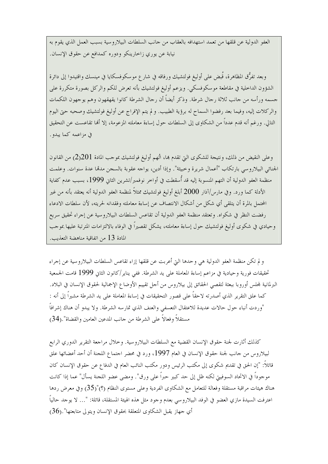العفو الدولية عن قلقها من تعمد استهدافه بالعقاب من حانب السلطات البيلاروسية بسبب العمل الذي يقوم به نيابة عن يوري زاخارينكو ودوره كمدافع عن حقوق الإنسان.

وبعد تفرُّق المظاهرة، قُبض على أوليغ فولتشيك ورفاقه في شارع موسكوفسكايا في مينسك واقتيدوا إلى دائرة الشؤون الداخلية في مقاطعة موسكوفسكي. ويزعم أوليغ فولتشيك بأنه تعرض للكم والركل بصورة متكررة على جسمه ورأسه من جانب ثلاثة رجال شرطة. وذكر أيضاً أن رجال الشرطة كانوا يقهقهون وهم يوجهون اللكمات والركلات إليه، وفيما بعد رفضوا السماح له برؤية الطبيب. و لم يتم الإفراج عن أوليغ فولتشيك وصحبه حتى اليوم التالي. ورغم أنه قدم عدداً من الشكاوي إلى السلطات حول إساءة معاملته المزعومة، إلا ألها تقاعست عن التحقيق في مزاعمه كما يبدو .

وعلى النقيض من ذلك، ونتيجة للشكوى التي تقدم ها، اتُهم أوليغ فولتشيك بموجب المادة 201(2) من القانون الجنائي البيلاروسي بارتكاب "أعمال شريرة وخبيثة". وإذا أدين، يواحه عقوبة بالسجن مدقما عدة سنوات. وعلمت منظمة العفو الدولية أن التهم المنسوبة إليه قد أسقطت في أواخر نوفمبر/تشرين الثاني 1999، بسبب عدم كفاية الأدلة كما ورد. وفي مارس/آذار 2000 أبلغ أوليغ فولتشيك ممثلاً لمنظمة العفو الدولية أنه يعتقد بأنه من غير المحتمل بالمرة أن يتلقى أي شكل من أشكال الانتصاف عن إساءة معاملته وفقدانه لحريته، لأن سلطات الادعاء رفضت النظر في شكواه. وتعتقد منظمة العفو الدولية أن تقاعس السلطات البيلاروسية عن إجراء تحقيق سريع وحيادي في شكوى أوليغ فولتشيك حول إساءة معاملته، يشكل تقصيراً في الوفاء بالالتزامات المترتبة عليها بموجب المادة 13 من اتفاقية مناهضة التعذيب.

و لم تكن منظمة العفو الدولية هي وحدها التي أعربت عن قلقها إزاء تقاعس السلطات البيلاروسية عن إجراء تحقيقات فورية وحيادية في مزاعم إساءة المعاملة على يد الشرطة. ففي يناير/كانون الثاني 1999 قامت الجمعية البرلمانية لمحلس أوروبا ببعثة لتقصى الحقائق إلى بيلاروس من أحل تقييم الأوضاع الإجمالية لحقوق الإنسان في البلاد. كما علق التقرير الذي أصدرته لاحقاً على قصور التحقيقات في إساءة المعاملة على يد الشرطة مشيراً إلى أنه : "وردت أنباء حول حالات عديدة للاعتقال التعسفي والعنف الذي تمارسه الشرطة. ولا يبدو أن هناك إشرافاً مستقلاً وفعالاً على الشرطة من حانب المدعين العامين والقضاة" .(34)

كذلك أثارت لجنة حقوق الإنسان القضية مع السلطات البيلاروسية. وخلال مراجعة التقرير الدوري الرابع لبيلاروس من حانب لجنة حقوق الإنسان في العام 1997، ورد في محضر احتماع اللجنة أن أحد أعضائها علق قائلاً: "إن الحق في تقديم شكوى إلى مكتب الرئيس ودور مكتب النائب العام في الدفاع عن حقوق الإنسان كان موجوداً في الاتحاد السوفييّ لكنه ظل إلى حد كبير حبراً على ورق". ومضى عضو اللجنة يسأل" عما إذا كانت هناك هيئات مراقبة مستقلة وفعالة للتعامل مع الشكاوي الفردية وعلى مستوى النظام (؟)"(35) وفي معرض ردها اعترفت السيدة مازي العضو في الوفد البيلاروسي بعدم وحود مثل هذه الهيئة المستقلة، قائلة: "… لا يوحد حالياً أي حهاز يقبل الشكاوي المتعلقة بحقوق الإنسان ويتولى متابعتها".(36)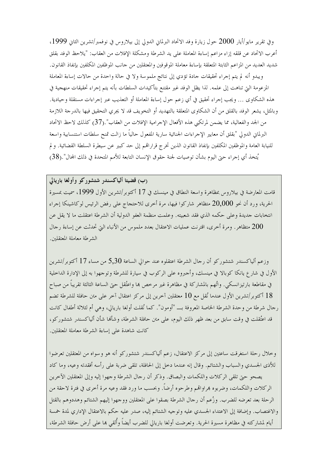وفي تقرير مايو/أيار 2000 حول زيارة وفد الاتحاد البرلماني الدولي إلى بيلاروس في نوفمبر/تشرين الثاني 1999، أعرب الاتحاد عن قلقه إزاء مزاعم إساءة المعاملة على يد الشرطة ومشكلة الإفلات من العقاب: "يلاحظ الوفد بقلق شديد العديد من المزاعم الثابتة المتعلقة بإساءة معاملة الموقوفين والمعتقلين من حانب الموظفين المكلفين بإنفاذ القانون. ويبدو أنه لم يتم إجراء تحقيقات جادة تؤدي إلى نتائج ملموسة ولا في حالة واحدة من حالات إساءة المعاملة المزعومة التي تناهت إلى علمه. لذا يظل الوفد غير مقتنع بتأكيدات السلطات بأنه يتم إجراء تحقيقات منهجية في هذه الشكاوي … ويجب إجراء تحقيق في أي زعم حول إساءة المعاملة أو التعذيب عبر إجراءات مستقلة وحيادية. وبالمثل، يشعر الوفد بالقلق من أن الشكاوى المتعلقة بالتهديد أو التخويف قد لا يجري التحقيق فيها بالدرجة اللازمة من الجد والفعالية، مما يضمن لمرتكبي هذه الأفعال الإحرامية الإفلات من العقاب".(37) كذلك لاحظ الاتحاد البرلمان الدولي "بقلق أن معايير الإجراءات الجنائية سارية المفعول حالياً ما زالت تمنح سلطات استنسابية واسعة للنيابة العامة والموظفين المكلفين بإنفاذ القانون الذين تخرج قراراتهم إلى حد كبير عن سيطرة السلطة القضائية. ولم يُتخذ أي إجراء حتى اليوم بشأن توصيات لجنة حقوق الإنسان التابعة للأمم المتحدة في ذلك المحال".(38)

### (ب) قضیتا ألیاکسندر شتشورکو وأولغا باریالی

قامت المعارضة في بيلاروس بمظاهرة واسعة النطاق في مينسك في 17 أكتوبر/تشرين الأول 1999، سميت بمسيرة الحرية، ورد أن نحو 20,000 متظاهر شاركوا فيها، مرة أحرى للاحتجاج على رفض الرئيس لوكاشينكا إجراء انتخابات جديدة وعلى حكمه الذي فقد شعبيته. وعلمت منظمة العفو الدولية أن الشرطة اعتقلت ما لا يقل عن متظاهر . ومرة أخرى، اقترنت عمليات الاعتقال بعدد ملموس من الأنباء التي تحدثت عن إساءة ر حال  $200$ الشرطة معاملة المعتقلين.

وزعم ألياكسندر شتشوركو أن رحال الشرطة اعتقلوه عند حوالي الساعة 5٫30 من مساء 17 أكتوبر/تشرين الأول في شارع يانكا كوبالا في مينسك، وأحبروه على الركوب في سيارة للشرطة وتوجهوا به إلى الإدارة الداخلية في مقاطعة بارتيزانسكي. واتُهم بالمشاركة في مظاهرة غير مرحص بما واعتُقل حتى الساعة الثالثة تقريباً من صباح 18 أكتو بر/تشرين الأول عندما نُقل مع 10 معتقلين آخرين إلى مركز اعتقال آخر على متن حافلة للشرطة تضم رجال شرطة من وحدة الشرطة الخاصة المعروفة بـــ "أومون". كما نُقلت أولغا باريالي، وهي أم لثلاثة أطفال كانت قد اعتُقلت في وقت سابق من بعد ظهر ذلك اليوم، على متن حافلة الشرطة، وشأها شأن ألياكسندر شتشوركو، كانت شاهدة على إساءة الشرطة معاملة المعتقلين.

وخلال رحلة استغرقت ساعتين إلى مركز الاعتقال، زعم ألياكسندر شتشوركو أنه هو وسواه من المعتقلين تعرضوا للأذى الجسدي والسباب والشتائم. وقال إنه عندما دخل إلى الحافلة، تلقى ضربة على رأسه أفقدته وعيه، وما كاد يصحو حتى تلقى الركلات واللكمات والبصاق. وذكر أن رجال الشرطة وجهوا إليه وإلى المعتقلين الآخرين الركلات واللكمات، وضربوه هراواقمم وطرحوه أرضاً. وبحسب ما ورد فقد وعيه مرة أخرى في فترة لاحقة من الرحلة بعد تعرضه للضرب. وزُعم أن رحال الشرطة بصقوا على المعتقلين ووحهوا إليهم الشتائم وهددوهم بالقتل والاغتصاب. وإضافة إلى الاعتداء الجسدي عليه وتوجيه الشتائم إليه، صدر عليه حكم بالاعتقال الإداري لمدة خمسة أيام لمشاركته في مظاهرة مسيرة الحرية. وتعرضت أولغا باريالي للضرب أيضاً وأُلقى هما على أرض حافلة الشرطة،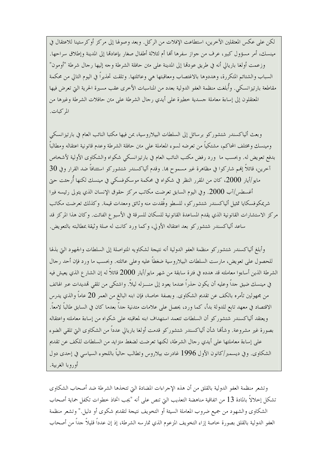لكن على عكس المعتقلين الآخرين، استطاعت الإفلات من الركل. وبعد وصولها إلى مركز أوكرستينا للاعتقال في مينسك، أمر مسؤول كبير، عرف من جواز سفرها ألها أم لثلاثة أطفال صغار بإعادها إلى المدينة وإطلاق سراحها. وزعمت أولغا باريالي أنه في طريق عودها إلى المدينة على متن حافلة الشرطة وجه إليها رحال شرطة "أومون" السباب والشتائم المتكررة، وهددوها بالاغتصاب ومعاقبتها هي وعائلتها. وتلقت تحذيراً في اليوم التالي من محكمة مقاطعة بارتيزانسكي. وأُبلغت منظمة العفو الدولية بعدد من المناسبات الأخرى عقب مسيرة الحرية التي تعرض فيها المعتقلون إلى إساءة معاملة جسدية خطيرة على أيدي , جال الشرطة على متن حافلات الشرطة وغيرها من المركبات.

وبعث ألياكسندر شتشوركو برسائل إلى السلطات البيلاروسية، بمن فيها مكتبا النائب العام في بارتيزانسكي ومينسك ومختلف المحاكم، مشتكياً من تعرضه لسوء المعاملة على متن حافلة الشرطة وعدم قانونية اعتقاله ومطالباً بدفع تعويض له. وبحسب ما ۖ ورد رفض مكتب النائب العام في بارتيزانسكي شكواه والشكاوي الأولية لأشخاص آخرين، قائلاً إلهم شاركوا في مظاهرة غير مسموح بما. وقدم ألياكسندر شتشوركو استئنافاً ضد القرار وفي 30 مايو/أيار 2000، كان من المقرر النظر في شكواه في محكمة موسكوفسكي في مينسك لكنها أُرحِمت حيّ أغسطس/آب 2000. وفي اليوم السابق تعرضت مكاتب مركز حقوق الإنسان الذي يتولى رئيسه فيرا شريمكوفسكايا تمثيل ألياكسندر شتشوركو، للسطو وفُقدت منه وثائق ومعدات قيمة. وكذلك تعرضت مكاتب مركز الاستشارات القانونية الذي يقدم المساعدة القانونية للسكان للسرقة في الأسبوع الفائت. وكان هذا المركز قد ساعد ألياكسندر شتشوركو بعد اعتقاله الأولى، وكما ورد كانت له صلة وثيقة بمطالبته بالتعويض.

وأبلغ ألياكسندر شتشوركو منظمة العفو الدولية أنه نتيجة لشكاويه المتواصلة إلى السلطات والجهود التي بذلها للحصول على تعويض، مارست السلطات البيلاروسية ضغطاً عليه وعلى عائلته. وبحسب ما ورد فإن أحد رحال الشرطة الذين أساءوا معاملته قد هدده في فترة سابقة من شهر مايو/أيار 2000 قائلاً له إن الشار ع الذي يعيش فيه في مينسك ضيق حداً وعليه أن يكون حذراً عندما يعود إلى منـــزله ليلاً. واشتكى من تلقى تمديدات عبر الهاتف من مجهولين تأمره بالكف عن تقديم الشكاوي. وبصفة خاصة، فإن ابنه البالغ من العمر 20 عاماً والذي يدرس الاقتصاد في معهد تابع للدولة بدأ، كما ورد، يحصل على علامات متدنية جداً بعدما كان في السابق طالباً لامعاً. ويعتقد ألياكسندر شتشوركو أن السلطات تتعمد استهداف ابنه لمعاقبته على شكواه من إساءة معاملته واعتقاله بصورة غير مشروعة. وشألها شأن ألياكسندر شتشوركو قدمت أولغا باريالي عدداً من الشكاوي التي تلقى الضوء على إساءة معاملتها على أيدي , حال الشرطة، لكنها تعرضت لضغط متزايد من السلطات للكف عن تقديم الشكاوي. وفي ديسمبر/كانون الأول 1996 غادرت بيلاروس وتطالب حالياً باللجوء السياسي في إحدى دول أوروبا الغربية.

وتشعر منظمة العفو الدولية بالقلق من أن هذه الإجراءات المضادة التي تتخذها الشرطة ضد أصحاب الشكاوى تشكل إخلالاً بالمادة 13 من اتفاقية مناهضة التعذيب التي تنص على أنه "يجب اتخاذ خطوات تكفل حماية أصحاب الشكاوي والشهود من جميع ضروب المعاملة السيئة أو التخويف نتيجة لتقديم شكوى أو دليل." وتشعر منظمة العفو الدولية بالقلق بصورة خاصة إزاء التخويف المزعوم الذي تمارسه الشرطة، إذ إن عدداً قليلاً حداً من أصحاب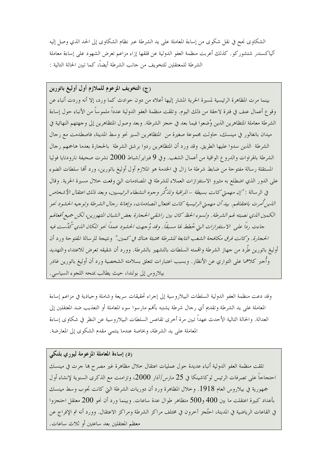الشكاوى نحح في نقل شكوى من إساءة المعاملة على يد الشرطة عبر نظام الشكاوى إلى الحد الذي وصل إليه ألياكسندر شتشوركو . كذلك أعربت منظمة العفو الدولية عن قلقها إزاء مزاعم تعرض الشهود على إساءة معاملة الشرطة للمعتقلين للتخويف من جانب الشرطة أيضاً، كما تبين الحالة التالية :

(ج) التخويف المزعوم للملازم أول أوليغ باتورين بينما مرت المظاهرة الرئيسية لمسيرة الحرية المشار إليها أعلاه من دون حوادث كما ورد، إلا أنه وردت أنباء عن وقوع أعمال عنف في فترة لاحقة من ذلك اليوم. وتلقت منظمة العفو الدولية عدداً ملموساً من الأنباء حول إساءة الشرطة معاملة المتظاهرين الذين وُضعوا فيما بعد في حجز الشرطة. وبعد وصول المتظاهرين إلى وجهتهم النهائية في ميدان بانغالور في مينسك، حاولت محموعة صغيرة من المتظاهرين السير نحو وسط المدينة، فاصطدمت مع رحال الشرطة الذين سدوا عليها الطريق. وقد ورد أن المتظاهرين ردوا برشق الشرطة بالحجارة بعدما هاجمهم رجال الشرطة بالهراوات والدروع الواقية من أعمال الشغب. وفي 9 فبراير/شباط 2000 نشرت صحيفة نارودنايا فوليا المستقلة رسالة مفتوحة من ضابط شرطة ما زال في الخدمة هو الملازم أول أوليغ باتورين، ورد أُلها سلطات الضوء على الدور الذي اضطلع به مثيرو الاستفزازات العملاء للشرطة في المصادمات التي وقعت خلال مسيرة الحرية. وقال في الر سالة : "إن مهمتي كانت بسيطة –المراقبة وتندَّكر وجوه النشطاء الرئيسيين، وبعد ذلك اعتقال الأشخاص اللدين أمرت باعتقالهم. بيد أن مهمتي الرئيسية كانت افتعال المصادمات، وإهانة رجال الشرطة وتوجيه الحشود نحو الكمين الذي نصبته لهم الشرطة . ولسوء الحظ كان بين راشقبي الحجارة بعض الشبان المتهورين، لكن جميع أفعالهم جاءت رداً علي الاستفزازات التي خُطط لها مسبقاً. وقد وُ جهت الحشود عمداً نحو المكان الذي تُحدِّيست فيه الحجارة. وكانت فرق مكافحة الشغب التابعة للشرطة مختبئة هناك في كمين" ونتيجة للرسالة المفتوحة ورد أن أوليغ باتورين طَرد من جهاز الشرطة واقممته السلطات بالتشهير بالشرطة. وورد أن شقيقه تعرض للاعتداء والتهديد وأُجبر كلاهما على التواري عن الأنظار . وبسبب اعتبارات تتعلق بسلامته الشخصية ورد أن أوليغ باتورين غادر بيلاروس إلى بولندا، حيث يطالب بمنحه اللجوء السياسي.

وقد دعت منظمة العفو الدولية السلطات البيلاروسية إلى إجراء تحقيقات سريعة وشاملة وحيادية في مزاعم إساءة المعاملة على يد الشرطة وتقديم أي رحال شرطة يشتبه بألهم مارسوا سوء المعاملة أو التعذيب ضد المعتقلين إلى العدالة. والحالة التالية الأحدث عهداً تبين مرة أخرى تقاعس السلطات البيلاروسية عن النظر في شكاوى إساءة المعاملة على يد الشرطة، وبخاصة عندما ينتمي مقدم الشكوى إلى المعارضة.

### (د) إساءة المعاملة المزعومة ليوري بلنكي

تلقت منظمة العفو الدولية أنباء عديدة حول عمليات اعتقال حلال مظاهرة غير مصرح بما حرت في مينسك احتجاجاً على تصرفات الرئيس لوكاشينكا في 25 مارس/آذار 2000، وتزامنت مع الذكرى السنوية لإنشاء أو ل جمهورية في بيلاروس العام 1918. وخلال المظاهرة ورد أن دوريات الشرطة التي كانت تجوب وسط مينسك بأعداد كبيرة اعتقلت ما بين 400 و500 متظاهر طوال عدة ساعات. وبينما ورد أن نحو 200 معتقل احتجزوا في القاعات الرياضية في المدينة، احتُجز آخرون في مختلف مراكز الشرطة ومراكز الاعتقال. وورد أنه تم الإفراج عن معظم المعتقلين بعد ساعتين أو ثلاث ساعات.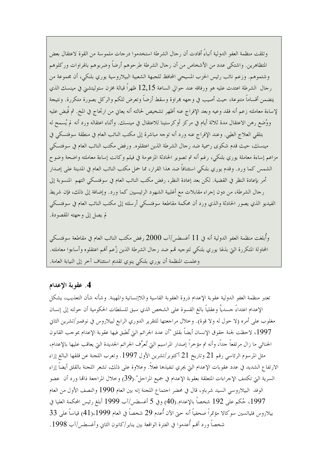وتلقت منظمة العفو الدولية أنباءً أفادت أن ر حال الشرطة استخدموا در حات ملموسة من القوة لاعتقال بعض المتظاهرين. واشتكي عدد من الأشخاص من أن رحال الشرطة طرحوهم أرضاً وضربوهم بالهراوات وركلوهم وشتموهم. وزعم نائب رئيس الحزب المسيحي المحافظ للجبهة الشعبية البيلاروسية يوري بلنكي، أن مجموعة من رجال الشرطة اعتدت عليه هو ورفاقه عند حوالي الساعة 12٫15 ظهراً قبالة مخزن ستوليتشني في مينسك الذي يتضمن أقساماً متنوعة، حيث أصيب في وجهه ڢمراوة وسقط أرضاً وتعرض للكم والركل بصورة متكررة. ونتيجة لإساءة معاملته زعم أنه فقد وعيه وبعد الإفراج عنه أظهر تشخيص لحالته أنه يعايي من ارتجاج في المخ. ثم قُبض عليه ووُضع رهن الاعتقال مدة ثلاثة أيام في مركزٍ أوكرستينا للاعتقال في مينسك. وأثناء اعتقاله ورد أنه لم يُسمح له بتلقى العلاج الطبي. وعند الإفراج عنه ورد أنه توجه مباشرة إلى مكتب النائب العام في منطقة سوفتسكي في مينسك، حيث قدم شكوى رسمية ضد رحال الشرطة الذين اعتقلوه. ورفض مكتب النائب العام في سوفتسكي مزاعم إساءة معاملة يوري بلنكي، رغم أنه تم تصوير الحادثة المزعومة في فيلم وكانت إساءة معاملته واضحة وضوح الشمس كما ورد. وقدم يوري بلنكي استئنافاً ضد هذا القرار، مما حمل مكتب النائب العام في المدينة على إصدار أمر بإعادة النظر في القضية. لكن بعد إعادة النظر، رفض مكتب النائب العام في سوفتسكي التهم المنسوبة إلى رجال الشرطة، من دون إجراء مقابلات مع أغلبية الشهود الرئيسيين كما ورد. وإضافة إلى ذلك، فإن شريط الفيديو الذي يصور الحادثة والذي ورد أن محكمة مقاطعة سوفتسكي أرسلته إلى مكتب النائب العام في سوفتسكي لم يصل إلى وجهته المقصودة.

وأُبلغت منظمة العفو الدولية أنه في 11 أغسطس/آب 2000 رفض مكتب النائب العام في مقاطعة سوفتسكي المحاولة المتكررة التي بذلها يوري بلنكي لتوحيه قمم ضد رحال الشرطة الذين زُعم أفمم اعتقلوه وأساءوا معاملته. وعلمت المنظمة أن يوري بلنكي ينوي تقديم استئناف آخر إلى النيابة العامة.

#### 4. عقوبة الإعدام

تعتبر منظمة العفو الدولية عقوبة الإعدام ذروة العقوبة القاسية واللاإنسانية والمهينة. وشأنه شأن التعذيب، يشكل الإعدام اعتداءً حسدياً وعقلياً بالغ القسوة على الشخص الذي سبق للسلطات الحكومية أن حولته إلى إنسان مغلوب على أمره (لا حول له ولا قوة). وخلال مراجعتها للتقرير الدوري الرابع لبيلاروس في نوفمبر/تشرين الثاني 1997، لاحظت لجنة حقوق الإنسان أيضاً بقلق "أن عدد الجرائم التي تُطبق فيها عقوبة الإعدام بموجب القانون الجنائبي ما زال مرتفعاً حداً، وأنه تم مؤخراً إصدار المراسيم التي تُعرِّف الجرائم الجديدة التي يعاقب عليها بالإعدام، مثل المرسوم الرئاسي رقم 21 وتاريخ 21 أكتوبر/تشرين الأول 1997. وتعرب اللجنة عن قلقها البالغ إزاء الارتفاع الشديد في عدد عقوبات الإعدام التي يجري تنفيذها فعلاً. وعلاوة على ذلك، تشعر اللحنة بالقلق أيضاً إزاء السرية التي تكتنف الإجراءات المتعلقة بعقوبة الإعدام في جميع المراحل".(39) وخلال المراجعة ذاتما ورد أن عضو الوفد البيلاروسي السيد شرباو، قال في محضر احتماع اللحنة إنه بين العام 1990 والنصف الأول من العام 1997، حُكم على 192 شخصاً بالإعدام.(40) وفي 5 أغسطس/آب 1999 أبلغ رئيس المحكمة العليا في بيلاروس فلياتسين سوكالا مؤتمراً صحفياً أنه حتى الآن أُعدم 29 شخصاً في العام 1999،(41) قياساً على 33 شخصاً ورد أُلهم أعدموا في الفترة الواقعة بين يناير/كانون الثاني وأغسطس/آب 1998.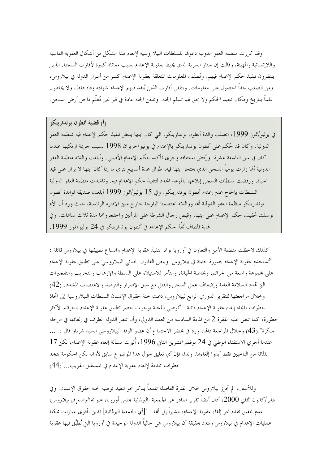وقد كررت منظمة العفو الدولية دعومًا للسلطات البيلاروسية لإلغاء هذا الشكل من أشكال العقوبة القاسية واللاإنسانية والمهينة، وقالت إن ستار السرية الذي يحيط بعقوبة الإعدام يسبب معاناة كبيرة لأقارب السجناء الذين ينتظرون تنفيذ حكم الإعدام فيهم. وتُصنَّف المعلومات المتعلقة بعقوبة الإعدام كسر من أسرار الدولة في بيلاروس، ومن الصعب حداً الحصول على معلومات. ويتلقى أقارب الذين يُنفذ فيهم الإعدام شهادة وفاة فقط، ولا يحاطون علماً بتاريخ ومكان تنفيذ الحكم ولا يحق لهم تسلم الجثة. وتدفن الجثة عادة في قبر غير مُعلّم داخل أرض السجن.

رأ) قضية أنطون بوندارينكو في يوليو/تموز 1999، اتصلت والدة أنطون بوندارينكو، التي كان ابنها ينتظر تنفيذ حكم الإعدام فيه بمنظمة العفو الدولية. وكان قد حُكم على أنطون بوندارينكو بالإعدام في يونيو/حزيران 1998 بسبب حريمة ارتكبها عندما كان في سن التاسعة عشرة. ورُفض استئنافه وحرى تأكيد حكم الإعدام الأصلي. وأبلغت والدته منظمة العفو الدولية ألها زارت يومياً السجن الذي يحتجز ابنها فيه، طوال عدة أسابيع لترى ما إذا كان ابنها لا يزال على قيد الحياة. ورفضت سلطات السجن إبلاغها بالموعد المحدد لتنفيذ حكم الإعدام فيه. وناشدت منظمة العفو الدولية السلطات بإلحاح عدم إعدام أنطون بوندارينكو . وفي 15 يوليو/تموز 1999 أبلغت صديقة لوالدة أنطون بوندارينكو منظمة العفو الدولية أفما ووالدته اعتصمتا البارحة حارج مبني الإدارة الرئاسية، حيث ورد أن الأم توسلت تخفيف حكم الإعدام على ابنها. وقبض رحال الشرطة على المرأتين واحتجزوهما مدة ثلاث ساعات. وفي هَاية المطاف نُفِّذ حكم الإعدام في أنطون بوندارينكو في 24 يوليو/تموز 1999.

كذلك لاحظت منظمة الأمن والتعاون في أوروبا تواتر تنفيذ عقوبة الإعدام واتساع تطبيقها في بيلاروس قائلة : "تُستخدم عقوبة الإعدام بصورة حثيثة في بيلاروس. وينص القانون الجنائي البيلاروسي على تطبيق عقوبة الإعدام على مجموعة واسعة من الجرائم، وبخاصة الخيانة، والتآمر للاستيلاء على السلطة والإرهاب والتخريب والتفجيرات التي قمدد السلامة العامة وإضعاف عمل السجن والقتل مع سبق الإصرار والترصد والاغتصاب المشدد."(42) وخلال مراجعتها للتقرير الدوري الرابع لبيلاروس، دعت لجنة حقوق الإنسان السلطات البيلاروسية إلى اتخاذ خطوات باتجاه إلغاء عقوبة الإعدام قائلة : "توصى اللجنة بوجوب حصر تطبيق عقوبة الإعدام بالجرائم الأكثر خطورة، كما تنص عليه الفقرة 2 من المادة السادسة من العهد الدولي، وأن تنظر الدولة الطرف في إلغائها في مرحلة مبكرة".(43) وخلال المراجعة ذامًا، ورد في محضر الاجتماع أن عضو الوفد البيلاروسي السيد شرباو قال : "… عندما أحري الاستفتاء الوطني في 24 نوفمبر/تشرين الثاني 1996، أُثيرت مسألة إلغاء عقوبة الإعدام، لكن 17 بالمائة من الناخبين فقط أيدوا إلغاءها. ولذا، فإن أي تعليق حول هذا الموضوع سابق لأوانه لكن الحكومة تتخذ خطوات محددة لإلغاء عقوبة الإعدام في المستقبل القريب..."(44)

وللأسف، لم تحرز بيلاروس حلال الفترة الفاصلة تقدماً يذكر نحو تنفيذ توصية لجنة حقوق الإنسان. وفي يناير/كانون الثاني 2000، أدان أيضاً تقرير صادر عن الجمعية البرلمانية لمحلس أوروبا، عنوانه *الوضع في بيلاروس*، عدم تحقيق تقدم نحو إلغاء عقوبة الإعدام، مشيراً إلى ألها : "[أي الجمعية البرلمانية] تدين بأقوى عبارات ممكنة عمليات الإعدام في بيلاروس وتندد بحقيقة أن بيلاروس هي حالياً الدولة الوحيدة في أوروبا التي تُطبَّق فيها عقوبة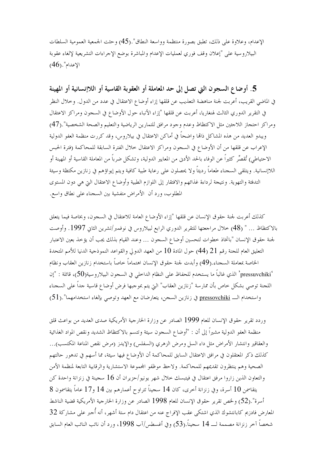الإعدام، وعلاوة على ذلك، تطبق بصورة منتظمة وواسعة النطاق".(45) وحثت الجمعية العمومية السلطات البيلاروسية على "إعلان وقف فوري لعمليات الإعدام والمباشرة بوضع الإجراءات التشريعية لإلغاء عقوبة  $(46)$ ."الإعدام

5. أوضاع السجون التي تصل إلى حد المعاملة أو العقوبة القاسية أو اللاإنسانية أو المهينة في الماضي القريب، أعربت لجنة مناهضة التعذيب عن قلقها إزاء أوضاع الاعتقال في عدد من الدول. وحلال النظر في التقرير الدوري الثالث لهنغاريا، أعربت عن قلقها "إزاء الأنباء حول الأوضاع في السجون ومراكز الاعتقال ومراكز احتجاز اللاجئين مثل الاكتظاظ وعدم وجود مرافق للتمارين الرياضية والتعليم والصحة الشخصية".(47) ويبدو العديد من هذه المشاكل ذاها واضحاً في أماكن الاعتقال في بيلاروس، وقد كررت منظمة العفو الدولية الإعراب عن قلقها من أن الأوضاع في السجون ومراكز الاعتقال حلال الفترة السابقة للمحاكمة (فترة الحبس الاحتياطي) تُقصِّر كثيراً عن الوفاء بالحد الأدبي من المعايير الدولية، وتشكل ضرباً من المعاملة القاسية أو المهينة أو اللاإنسانية. ويتلقى السجناء طعاماً رديئاً ولا يحصلون على رعاية طبية كافية ويتم إيواؤهم في زنازين مكتظة وسيئة التدفئة والتهوية. ونتيجة لرداءة غذائهم والافتقار إلى اللوازم الطبية وأوضاع الاعتقال التي هي دون المستوى المطلوب، ورد أن الأمراض متفشية بين السجناء على نطاق واسع.

كذلك أعربت لجنة حقوق الإنسان عن قلقها "إزاء الأوضاع العامة للاعتقال في السجون، وبخاصة فيما يتعلق بالاكتظاظ … " (48) حلال مراجعتها للتقرير الدوري الرابع لبيلاروس في نوفمبر/تشرين الثاني 1997. وأوصت لجنة حقوق الإنسان "باتخاذ حطوات لتحسين أوضاع السجون … وعند القيام بذلك يجب أن يؤخذ بعين الاعتبار التعليق العام للجنة رقم 21 (44) حول المادة 10 من العهد الدولي والقواعد النموذجية الدنيا للأمم المتحدة الخاصة بمعاملة السجناء.(49) وأبدت لجنة حقوق الإنسان اهتماماً حاصاً باستخدام زنازين العقاب ونظام 'pressuvchiki' الذي غالباً ما يستخدم للحفاظ على النظام الداخلي في السجون البيلاروسية(50)، قائلة : "إن اللحنة توصي بشكل حاص بأن ممارسة "زنازين العقاب" التي يتم بموجبها فرض أوضاع قاسية حداً على السحناء واستخدام الـــ <u>pressovchiki</u> في زنازين السجن، يتعارضان مع العهد وتوصى بإلغاء استخدامهما".(51)

وردد تقرير حقوق الإنسان للعام 1999 الصادر عن وزارة الخارجية الأمريكية صدى العديد من بواعث قلق منظمة العفو الدولية مشيراً إلى أن : "أوضاع السجون سيئة وتتسم بالاكتظاظ الشديد ونقص المواد الغذائية والعقاقير وانتشار الأمراض مثل داء السل ومرض الزهري (السفلس) والإيدز (مرض نقص المناعة المكتسب)… كذلك ذكر المعتقلون في مرافق الاعتقال السابق للمحاكمة أن الأوضاع فيها سيئة، مما أسهم في تدهور حالتهم الصحية وهم ينتظرون تقديمهم للمحاكمة. ولاحظ موظفو المحموعة الاستشارية والرقابية التابعة لمنظمة الأمن والتعاون الذين زاروا مرفق اعتقال في فيتبسك حلال شهر يونيو/حزيران أن 16 سجينة في زنزانة واحدة كن يتقاسمن 10 أسرة، وفي زنزانة أخرى، كان 14 سجيناً تتراوح أعمارهم بين 14 و17 عاماً يتقاسمون 8 أسرة".(52) ولحص تقرير حقوق الإنسان للعام 1998 الصادر عن وزارة الخارجية الأمريكية قضية الناشط المعارض فادزيم كابانتشوك الذي اشتكى عقب الإفراج عنه من اعتقال دام ستة أشهر، أنه أُجبر على مشاركة 32 شخصاً آخر زنزانة مصممة لـــ 14 سجيناً.(53) وفي أغسطس/آب 1998، ورد أن نائب النائب العام السابق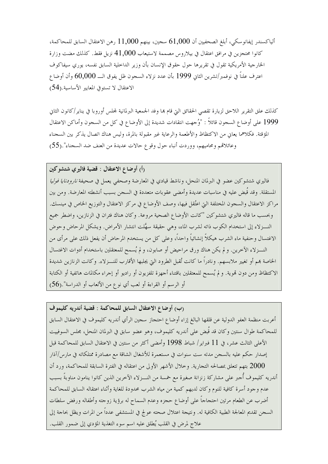ألياكسندر إيفانوسكي، أبلغ الصحفيين أن 61,000 سجين، بينهم 11,000 رهن الاعتقال السابق للمحاكمة، كانوا محتجزين في مرافق اعتقال في بيلاروس مصممة لاستيعاب 41,000 نزيل فقط. كذلك مضت وزارة الخارجية الأمريكية تقول في تقريرها حول حقوق الإنسان بأن وزير الداحلية السابق نفسه، يوري سيفاكوف اعترف علناً في نوفمبر/تشرين الثاني 1999 بأن عدد نزلاء السجون ظل يفوق الــــ 60,000 وأن أوضاع الاعتقال لا تستوفي المعايير الأساسية.(54)

كذلك علق التقرير اللاحق لزيارة تقصي الحقائق التي قام هما وفد الجمعية البرلمانية لمحلس أوروبا في يناير/كانون الثاني 1999 على أوضاع السجون قائلاً : "وُحمهت انتقادات شديدة إلى الأوضاع في كل من السجون وأماكن الاعتقال المؤقتة. فكلاهما يعاني من الاكتظاظ والأطعمة والرعاية غير مقبولة بالمرة، وليس هناك اتصال يذكر بين السجناء وعائلاقم ومحاميهم، ووردت أنباء حول وقوع حالات عديدة من العنف ضد السحناء".(55)

رأ) أوضاع الاعتقال : قضية فاليري شتشوكين

فاليري شتشوكين عضو في البرلمان المنحل، وناشط قيادي في المعارضة وصحفى يعمل في صحيفة *نارودنايا فوليا* المستقلة. وقد قُبض عليه في مناسبات عديدة وأمضى عقوبات متعددة في السجن بسبب أنشطته المعارضة. ومن بين مراكز الاعتقال والسجون المختلفة التي اعتُقل فيها، وصف الأوضاع في مركز الاعتقال والتوزيع الخاص في مينسك. وبحسب ما قاله فاليري شتشوكين "كانت الأوضاع الصحية مروعة. وكان هناك فئران في الزنازين، واضطر جميع النـــزلاء إلى استخدام الكوب ذاته لشرب الماء، وهي حقيقة سهَّلت انتشار الأمراض. ويشكل المرحاض وحوض الاغتسال وحنفية ماء الشرب هيكلاً إنشائياً واحداً، وعلى كل من يستخدم المرحاض أن يفعل ذلك على مرأى من النـــزلاء الآخرين. ولم يكن هناك ورق مراحيض أو صابون، ولم يُسمح للمعتقلين باستخدام أدوات الاغتسال الخاصة هم أو تغيير ملابسهم. ونادراً ما كانت تُقبل الطرود التي يجلبها الأقارب للنـــزلاء. وكانت الزنازين شديدة الاكتظاظ ومن دون قموية. و لم يُسمح للمعتقلين باقتناء أحهزة تلفزيون أو راديو أو إحراء مكالمات هاتفية أو الكتابة أو الرسم أو القراءة أو لعب أي نوع من الألعاب أو الدراسة".(56)

(ب) أوضاع الاعتقال السابق للمحاكمة : قضية أندريه كليموف أعربت منظمة العفو الدولية عن قلقها البالغ إزاء أوضاع احتجاز سجين الرأي أندريه كليموف في الاعتقال السابق للمحاكمة طوال سنتين وكان قد قَبض على أندريه كليموف، وهو عضو سابق في البرلمان المنحل، مجلس السوفييت الأعلى الثالث عشر، في 11 فبراير/ شباط 1998 وأمضى أكثر من سنتين في الاعتقال السابق للمحاكمة قبل إصدار حكم عليه بالسحن مدته ست سنوات في مستعمرة للأشغال الشاقة مع مصادرة ممتلكاته في مارس/آذار 2000 بتهم تتعلق بمصالحه التجارية. وخلال الأشهر الأولى من اعتقاله في الفترة السابقة للمحاكمة، ورد أن أندريه كليموف أجبر على مشاركة زنزانة صغيرة مع خمسة من النـــزلاء الآخرين الذين كانوا ينامون مناوبةُ بسبب عدم وجود أسرة كافية للنوم وكان لديهم كمية من مياه الشرب محدودة للغاية وأثناء اعتقاله السابق للمحاكمة أضرب عن الطعام مرتين احتجاجاً على أوضاع حجزه وعدم السماح له برؤية زوجته وأطفاله ورفض سلطات السجن تقديم المعالجة الطبية الكافية له. ونتيجة اعتلال صحته عولج في المستشفى عدداً من المرات ويظل بحاجة إلى علاج لمرض في القلب يُطلق عليه اسم سوء التغذية المؤدي إلى ضمور القلب.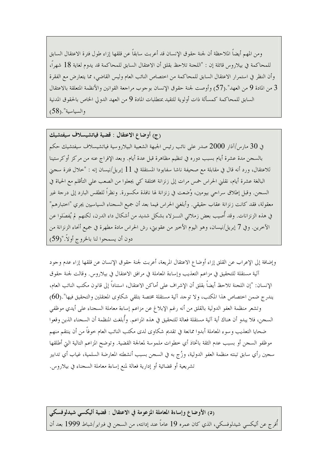ومن المهم أيضاً الملاحظة أن لجنة حقوق الإنسان قد أعربت سابقاً عن قلقها إزاء طول فترة الاعتقال السابق للمحاكمة في بيلاروس قائلة إن : "اللجنة تلاحظ بقلق أن الاعتقال السابق للمحاكمة قد يدوم لغاية 18 شهراً، وأن النظر في استمرار الاعتقال السابق للمحاكمة من اختصاص النائب العام وليس القاضي، مما يتعارض مع الفقرة من المادة 9 من العهد".(57) وأوصت لجنة حقوق الإنسان بوجوب مراجعة القوانين والأنظمة المتعلقة بالاعتقال  $3$ السابق للمحاكمة كمسألة ذات أولوية للتقيد بمتطلبات المادة 9 من العهد الدولي الخاص بالحقوق المدنية والسياسية".(58)

(ج) أوضاع الاعتقال : قضية فياتشيسلاف سيفتشيك في 30 مارس/آذار 2000 صدر على نائب رئيس الجبهة الشعبية البيلاروسية فياتشيسلاف سيفتشيك حكم بالسجن مدة عشرة أيام بسبب دوره في تنظيم مظاهرة قبل عدة أيام. وبعد الإفراج عنه من مركز أوكرستينا للاعتقال، ورد أنه قال في مقابلة مع صحيفة ناشا سفابودا المستقلة في 11 إبريل/نيسان إنه : "حلال فترة سجني البالغة عشرة أيام، نقلني الحراس خمس مرات إلى زنزانة مختلفة كي يجعلوا من الصعب على التأقلم مع الحياة في السجن. وقبل إطلاق سراحي بيومين، وُضعت في زنزانة لها نافذة مكسورة. ونظراً للطقس البارد إلى درجة غير معقولة، فقد كانت زنزانة عقاب حقيقي. وأبلغني الحراس فيما بعد أن جميع السجناء السياسيين يجري "اختبارهم" في هذه الزنزانات. وقد أُصيب بعض زملائي النـــزلاء بشكل شديد من أشكال داء الدرن، لكنهم لم يُفصَلوا عن الآخرين. وفي 7 إبريل/نيسان، وهو اليوم الأخير من عقوبتي، رش الحراس مادة مطهرة في جميع أنحاء الزنزانة من دون أن يسمحوا لنا بالخروج أولاً."(59)

وإضافة إلى الإعراب عن القلق إزاء أوضاع الاعتقال المريعة، أعربت لجنة حقوق الإنسان عن قلقها إزاء عدم وجود آلية مستقلة للتحقيق في مزاعم التعذيب وإساءة المعاملة في مرافق الاعتقال في بيلاروس. وقالت لجنة حقوق الإنسان: "إن اللجنة تلاحظ أيضاً بقلق أن الإشراف على أماكن الاعتقال، استناداً إلى قانون مكتب النائب العام، يندرج ضمن اختصاص هذا المكتب، ولا توجد آلية مستقلة مختصة بتلقى شكاوى المعتقلين والتحقيق فيها".(60) وتشعر منظمة العفو الدولية بالقلق من أنه رغم الإبلاغ عن مزاعم إساءة معاملة السجناء على أيدي موظفي السجن، فلا يبدو أن هناك أية آلية مستقلة فعالة للتحقيق في هذه المزاعم. وأُبلغت المنظمة أن السجناء الذين وقعوا ضحايا التعذيب وسوء المعاملة أبدوا ممانعة في تقديم شكاوي لدى مكتب النائب العام حوفاً من أن ينتقم منهم موظفو السجن أو بسبب عدم الثقة باتخاذ أي خطوات ملموسة لمعالجة القضية. وتوضح المزاعم التالية التي أطلقها سجين رأي سابق تبنته منظمة العفو الدولية، وزُج به في السجن بسبب أنشطته المعارضة السلمية، غياب أي تدابير تشريعية أو قضائية أو إدارية فعالة لمنع إساءة معاملة السجناء في بيلاروس.

(د) الأوضاع وإساءة المعاملة المزعومة في الاعتقال : قضية أليكسي شيدلوفسكي أُفرج عن أليكسي شيدلوفسكي، الذي كان عمره 19 عاماً عند إدانته، من السجن في فبراير/شباط 1999 بعد أن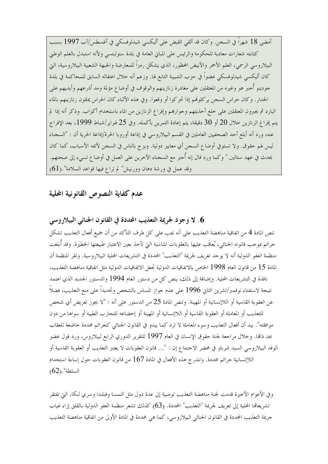أمضى 18 شهراً في السجن. وكان قد ألقى القبض على أليكسى شيدلوفسكي في أغسطس/آب 1997 بسبب كتابته شعارات معادية للحكومة والرئيس على المباين العامة في بلدة ستولبتسي ولأنه استبدل بالعلم الوطني البيلاروسي الرسمي، العلم الأحمر والأبيض المحظور، الذي يشكل رمزاً للمعارضة والجبهة الشعبية البيلاروسية، التي كان أليكسي شيدلوفسكي عضواً في حزب الشبيبة التابع لها. وزعم أنه خلال اعتقاله السابق للمحاكمة في بلدة جودينو أُحبر هو وغيره من المعتقلين على مغادرة زنازينهم والوقوف في أوضاع مؤلمة ومد أذرعهم وأيديهم على الجدار . وكان حراس السجن يركلوهم إذا تحركوا أو وقعوا. وفي هذه الأثناء كان الحراس يملئون زنازينهم بالماء البارد ثم يجبرون المعتقلين على خلع أحذيتهم وجوارهم وإفراغ الزنازين من الماء باستخدام أكواب. وذكر أنه إذا لم يتم إفراغ الزنازين خلال 20 أو 30 دقيقة، يتم إعادة التمرين بأكمله. وفي 25 فبراير/شباط 1999، بعد الإفراج عنه، ورد أنه أبلع أحد الصحفيين العاملين في القسم البيلاروسي في إذاعة أوروبا الحرة/إذاعة الحرية أن : "السحناء ليس لهم حقوق. ولا تستوفي أوضاع السجن أي معايير دولية. ويزج بالناس في السجن لأتفه الأسباب، كما كان يحدث في عهد ستالين." وكما ورد قال إنه أُحبر مع السجناء الآخرين على العمل في أوضاع تسيء إلى صحتهم. وقد عمل في ورشة دهان وورنيش" لم تراع فيها قواعد السلامة".(61)

عدم كفاية النصوص القانونية المحلية

6. لا وجود لجريمة التعذيب المحددة في القانون الجنائبي البيلاروسي

تنص المادة 4 من اتفاقية مناهضة التعذيب على أنه يجب على كل طرف التأكد من أن جميع أفعال التعذيب تشكل جرائم بموجب قانونه الجنائي، يُعاقَب عليها بالعقوبات المناسبة التي تأخذ بعين الاعتبار طبيعتها الخطيرة. وقد أبلغت منظمة العفو الدولية أنه لا يوحد تعريف لجريمة "التعذيب" المحددة في التشريعات المحلية البيلاروسية. وتقر المنظمة أن المادة 15 من قانون العام 1998 الخاص بالاتفاقيات الدولية تجعل الاتفاقيات الدولية مثل اتفاقية مناهضة التعذيب، نافذة في التشريعات المحلية. وإضافة إلى ذلك، ينص كل من دستور العام 1994 والدستور الجديد الذي اعتمد نتيجة لاستفتاء نوفمبر/تشرين الثاني 1996 على عدم جواز المساس بالشخص وتحديداً على منع التعذيب، فضلاً عن العقوبة القاسية أو اللاإنسانية أو المهينة. وتنص المادة 25 من الدستور على أنه : "لا يجوز تعريض أي شخص للتعذيب أو المعاملة أو العقوبة القاسية أو اللاإنسانية أو المهينة أو إحضاعه للتجارب الطبية أو سواها من دون موافقته". بيد أن أفعال التعذيب وسوء المعاملة لا ترد كما يبدو في القانون الجنائي كجرائم محددة حاضعة للعقاب بحد ذاتما. وخلال مراجعة لجنة حقوق الإنسان في العام 1997 للتقرير الدوري الرابع لبيلاروس، ورد قول عضو الوفد البيلاروسي السيد شرباو في محضر الاحتماع إن : "... قانون العقوبات لا يعتبر التعذيب أو العقوبة القاسية أو اللاإنسانية جرائم محددة. وتندر ج هذه الأفعال في المادة 167 من قانون العقوبات حول إساءة استخدام  $(62)$ . السلطة

وفي الأعوام الأخيرة قدمت لجنة مناهضة التعذيب توصية إلى عدة دول مثل النمسا وفنلندا وسري لنكا، التي تفتقر تشريعالها المحلية إلى تعريف لجريمة "التعذيب" المحددة. (63) كذلك تشعر منظمة العفو الدولية بالقلق إزاء غياب جريمة التعذيب المحددة في القانون الجنائبي البيلاروسي، كما هي محددة في المادة الأولى من اتفاقية مناهضة التعذيب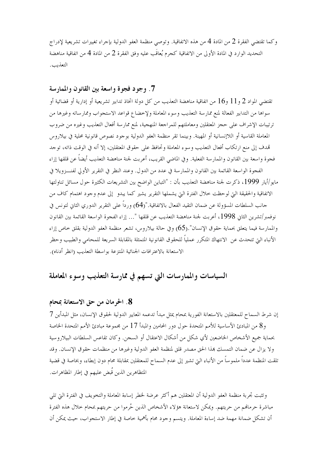وكما تقتضي الفقرة 2 من المادة 4 من هذه الاتفاقية. وتوصى منظمة العفو الدولية بإجراء تغييرات تشريعية لإدراج التحديد الوارد في المادة الأولى من الاتفاقية كجرم يُعاقَب عليه وفق الفقرة 2 من المادة 4 من اتفاقية مناهضة التعذيب.

### 7. وجود فجوة واسعة بين القانون والممارسة

تقتضى المواد 2 و 11 و16 من اتفاقية مناهضة التعذيب من كل دولة اتخاذ تدابير تشريعية أو إدارية أو قضائية أو سواها من التدابير الفعالة لمنع ممارسة التعذيب وسوء المعاملة ولإخضاع قواعد الاستجواب وممارساته وغيرها من ترتيبات الإشراف على حجز المعتقلين ومعاملتهم للمراجعة المنهجية، لمنع ممارسة أفعال التعذيب وغيره من ضروب المعاملة القاسية أو اللاإنسانية أو المهينة. وبينما تقر منظمة العفو الدولية بوجود نصوص قانونية محلية في بيلاروس تمدف إلى منع ارتكاب أفعال التعذيب وسوء المعاملة وتحافظ على حقوق المعتقلين، إلا أنه في الوقت ذاته، توجد فجوة واسعة بين القانون والممارسة الفعلية. وفي الماضي القريب، أعربت لجنة مناهضة التعذيب أيضاً عن قلقها إزاء الفجوة الواسعة القائمة بين القانون والممارسة في عدد من الدول. وعند النظر في التقرير الأولى لفنـــزويلا في مايو/أيار 1999، ذكرت لجنة مناهضة التعذيب بأن : "التباين الواضح بين التشريعات الكثيرة حول مسائل تناولتها الاتفاقية والحقيقة التي لوحظت حلال الفترة التي يشملها التقرير يشير كما يبدو إلى عدم وجود اهتمام كاف من حانب السلطات المسؤولة عن ضمان التقيد الفعال بالاتفاقية."(64) ورداً على التقرير الدوري الثاني لتونس في نوفمبر/تشرين الثاني 1998، أعربت لجنة مناهضة التعذيب عن قلقها "… إزاء الفجوة الواسعة القائمة بين القانون والممارسة فيما يتعلق بحماية حقوق الإنسان".(65) وفي حالة بيلاروس، تشعر منظمة العفو الدولية بقلق حاص إزاء الأنباء التي تتحدث عن الانتهاك المتكرر عملياً للحقوق القانونية المتمثلة بالمقابلة السريعة للمحامي والطبيب وحظر الاستعانة بالاعترافات الجنائية المنتزعة بواسطة التعذيب (انظر أدناه).

## السياسات والممارسات التي تسهم في ممارسة التعذيب وسوء المعاملة

#### 8. الحرمان من حق الاستعانة بمحام

إن شرط السماح للمعتقلين بالاستعانة الفورية بمحام يمثل مبدأ تدعمه المعايير الدولية لحقوق الإنسان، مثل المبدأين 7 و8 من المبادئ الأساسية للأمم المتحدة حول دور المحامين والمبدأ 17 من مجموعة مبادئ الأمم المتحدة الخاصة بحماية جميع الأشخاص الخاضعين لأي شكل من أشكال الاعتقال أو السجن. وكان تقاعس السلطات البيلاروسية ولا يزال عن ضمان التمسك بمذا الحق مصدر قلق لمنظمة العفو الدولية وغيرها من منظمات حقوق الإنسان. وقد تلقت المنظمة عدداً ملموساً من الأنباء التي تشير إلى عدم السماح للمعتقلين بمقابلة محام دون إبطاء، وبخاصة في قضية المتظاهرين الذين قَبض عليهم في إطار المظاهرات.

وتثبت تحربة منظمة العفو الدولية أن المعتقلين هم أكثر عرضة لخطر إساءة المعاملة والتخويف في الفترة التي تلبي مباشرة حرمالهم من حريتهم. ويمكن لاستعانة هؤلاء الأشخاص الذين حُرموا من حريتهم بمحام حلال هذه الفترة أن تشكل ضمانة مهمة ضد إساءة المعاملة. ويتسم وجود محام بأهمية خاصة في إطار الاستجواب، حيث يمكن أن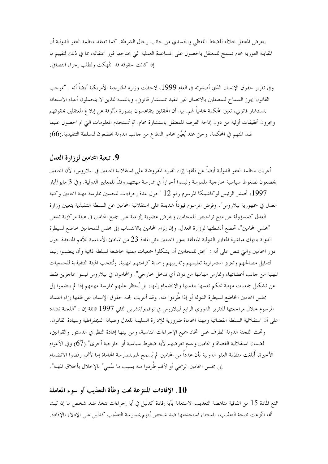يتعرض المعتقل حلاله للضغط اللفظي والجسدي من حانب رحال الشرطة. كما تعتقد منظمة العفو الدولية أن المقابلة الفورية لمحام تسمح للمعتقل بالحصول على المساعدة العملية التي يحتاجها فور اعتقاله، بما في ذلك لتقييم ما إذا كانت حقوقه قد انتُهكت ولطلب إجراء انتصافي.

وفي تقرير حقوق الإنسان الذي أصدرته في العام 1999، لاحظت وزارة الخارجية الأمريكية أيضاً أنه : "بموحب القانون يجوز السماح للمعتقلين بالاتصال غير المقيد بمستشار قانويي، وبالنسبة للذين لا يتحملون أعباء الاستعانة بمستشار قانوين، تعين المحكمة محامياً لهم. بيد أن المحققين يتقاعسون بصورة مألوفة عن إبلاغ المعتقلين بحقوقهم ويجرون تحقيقات أولية من دون إتاحة الفرصة للمعتقل باستشارة محام. ثم تُستخدم المعلومات التي تم الحصول عليها ضد المتهم في المحكمة. وحتى عند يُعيَّن محامو الدفاع من حانب الدولة يخضعون للسلطة التنفيذية.(66)

#### 9. تبعية المحامين لوزارة العدل

أعربت منظمة العفو الدولية أيضاً عن قلقها إزاء القيود المفروضة على استقلالية المحامين في بيلاروس، لأن المحامين يخضعون لضغوط سياسية حارجية ملموسة وليسوا أحراراً في ممارسة مهنتهم وفقاً للمعايير الدولية. وفي 3 مايو/أيار 1997، أصدر الرئيس لوكاشينكا المرسوم رقم 12 "حول عدة إجراءات لتحسين ممارسة مهنة المحامين وكتبة العدل في جمهورية بيلاروس". وفرض المرسوم قيوداً شديدة على استقلالية المحامين عن السلطة التنفيذية بتعيين وزارة العدل كمسؤولة عن منح تراخيص للمحامين وبفرض عضوية إلزامية على جميع المحامين في هيئة مركزية تدعى "مجلس المحامين"، تخضع أنشطتها لوزارة العدل. وإن إلزام المحامين بالانتساب إلى مجلس للمحامين حاضع لسيطرة الدولة ينتهك مباشرة المعايير الدولية المتعلقة بدور المحامين مثل المادة 23 من المبادئ الأساسية للأمم المتحدة حول دور المحامين والتي تنص على أنه : "يحق للمحامين أن يشكلوا جمعيات مهنية خاضعة لسلطة ذاتية وأن ينضموا إليها لتمثيل مصالحهم وتعزيز استمرارية تعليمهم وتدريبهم وحماية كرامتهم المهنية. وتُنتخب الهيئة التنفيذية للجمعيات المهنية من جانب أعضائها، وتمارس مهامها من دون أي تدخل خارجي". والمحامون في بيلاروس ليسوا عاجزين فقط عن تشكيل جمعيات مهنية تحكم نفسها بنفسها والانضمام إليها، بل يُحظر عليهم ممارسة مهنتهم إذا لم ينضموا إلى بحلس المحامين الخاضع لسيطرة الدولة أو إذا طُردوا منه. وقد أعربت لجنة حقوق الإنسان عن قلقها إزاء اعتماد المرسوم خلال مراجعتها للتقرير الدوري الرابع لبيلاروس في نوفمبر/تشرين الثاني 1997 قائلة إن : "اللجنة تشدد على أن استقلالية السلطة القضائية ومهنة المحاماة ضرورية للإدارة السليمة للعدل وصيانة الديمقراطية وسيادة القانون. وتحث اللجنة الدولة الطرف على اتخاذ جميع الإحراءات المناسبة، ومن بينها إعادة النظر في الدستور والقوانين، لضمان استقلالية القضاة والمحامين وعدم تعرضهم لأية ضغوط سياسية أو حارجية أحرى".(67) وفي الأعوام الأخيرة، أُبلغت منظمة العفو الدولية بأن عدداً من المحامين لم يُسمح لهم بممارسة المحاماة إما لأفمم رفضوا الانضمام إلى مجلس المحامين الرسمي أو لأفمم طُردوا منه بسبب ما سُمي" بالإحلال بأحلاق المهنة".

### 10. الإفادات المنتزعة تحت وطأة التعذيب أو سوء المعاملة

تمنع المادة 15 من اتفاقية مناهضة التعذيب الاستعانة بأية إفادة كدليل في أية إجراءات تتخذ ضد شخص ما إذا ثبت ألها انتُزعت نتيجة التعذيب، باستثناء استخدامها ضد شخص يُتهم بممارسة التعذيب كدليل على الإدلاء بالإفادة.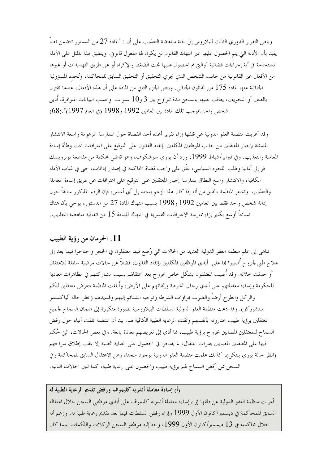وينص التقرير الدوري الثالث لبيلاروس إلى لجنة مناهضة التعذيب على أن : "المادة 27 من الدستور تتضمن نصاً يفيد بأن الأدلة التي يتم الحصول عليها عبر انتهاك القانون لن يكون لها مفعول قانوين. وينطبق هذا بالمثل على الأدلة المستخدمة في أية إجراءات قضائية "والتي تم الحصول عليها تحت الضغط والإكراه أو عن طريق التهديدات أو غيرها من الأفعال غير القانونية من حانب الشخص الذي يجري التحقيق أو التحقيق السابق للمحاكمة، وتُحدد المسؤولية الجنائية عنها المادة 175 من القانون الجنائي. وينص الجزء الثاني من المادة على أن هذه الأفعال، عندما تقترن بالعنف أو التخويف، يعاقب عليها بالسجن مدة تتراوح بين 3 و10 سنوات. وبحسب البيانات المتوافرة، أدين شخص واحد بموجب تلك المادة بين العامين 1992 و1998 (في العام 1997)".(68)

وقد أعربت منظمة العفو الدولية عن قلقها إزاء تقرير أعده أحد القضاة حول الممارسة المزعومة واسعة الانتشار المتمثلة بإجبار المعتقلين من حانب الموظفين المكلفين بإنفاذ القانون على التوقيع على اعترافات تحت وطأة إساءة المعاملة والتعذيب. وفي فبراير/شباط 1999، ورد أن يوري سوشكوف، وهو قاضي محكمة من مقاطعة بوبرويسك فر إلى ألمانيا وطلب اللجوء السياسي، علَّق على واحب قضاة المحاكمة في إصدار إدانات، حتى في غياب الأدلة الكافية، والانتشار واسع النطاق لممارسة إجبار المعتقلين على التوقيع على اعترافات عن طريق إساءة المعاملة والتعذيب. وتشعر المنظمة بالقلق من أنه إذا كان هذا الزعم يستند إلى أي أساس، فإن الرقم المذكور سابقاً حول إدانة شخص واحد فقط بين العامين 1992 و1998 بسبب انتهاك المادة 27 من الدستور، يوحي بأن هناك تسامحاً أوسع بكثير إزاء ممارسة الاعترافات القسرية في انتهاك للمادة 15 من اتفاقية مناهضة التعذيب.

### 11. الحرمان من رؤية الطبيب

تناهي إلى علم منظمة العفو الدولية العديد من الحالات التيّ وُضع فيها معتقلون في الحجز واحتاجوا فيما بعد إلى علاج طبي لجروح أُصِيبوا بما على ۖ أيدي الموظفين المكلفين بإنفاذ القانون، فضلاً عن حالات مرضية سابقة للاعتقال أو حدثت خلاله. وقد أُصيب المعتقلون بشكل خاص بجروح بعد اعتقالهم بسبب مشاركتهم في مظاهرات معادية للحكومة وإساءة معاملتهم على أيدي رحال الشرطة وإلقائهم على الأرض، وأُبلغت المنظمة بتعرض معتقلين للكم والركل والطرح أرضاً والضرب هراوات الشرطة وتوجيه الشتائم إليهم وتمديدهم (انظر حالة ألياكسندر ستشوركو). وقد دعت منظمة العفو الدولية السلطات البيلاروسية بصورة متكررة إلى ضمان السماح لجميع المعتقلين برؤية طبيب يختارونه بأنفسهم وتقديم الرعاية الطبية الكافية لهم. بيد أن المنظمة تلقت أنباء حول رفض السماح للمعتقلين المصابين بجروح برؤية طبيب، مما أدى إلى تعريضهم لمعاناة بالغة. وفي بعض الحالات، التي حُكم فيها على المعتقلين المصابين بفترات اعتقال، لم يفلحوا في الحصول على العناية الطبية إلا عقب إطلاق سراحهم (انظر حالة يوري بلنكي). كذلك علمت منظمة العفو الدولية بوجود سجناء رهن الاعتقال السابق للمحاكمة وفي السجن ممن رُفض السماح لهم برؤية طبيب والحصول على رعاية طبية، كما تبين الحالات التالية.

رأ) إساءة معاملة أندريه كليموف ورفض تقديم الرعاية الطبية له أعربت منظمة العفو الدولية عن قلقها إزاء إساءة معاملة أندريه كليموف على أيدي موظفى السجن حلال اعتقاله السابق للمحاكمة في ديسمبر/كانون الأول 1999 وإزاء رفض السلطات فيما بعد تقديم رعاية طبية له. وزعم أنه خلال محاكمته في 13 ديسمبر/كانون الأول 1999، وجه إليه موظفو السجن الركلات واللكمات بينما كان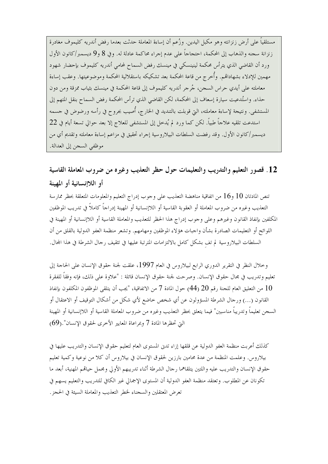مستلقياً على أرض زنزانته وهو مكبل اليدين. وزُعم أن إساءة المعاملة حدثت بعدما رفض أندريه كليموف مغادرة زنزانة سجنه والذهاب إلى المحكمة، احتجاجاً على عدم إجراء محاكمة عادلة له. وفي 8 و9 ديسمبر/كانون الأول ورد أن القاضي الذي يترأس محكمة لينينسكي في مينسك رفض السماح لمحامي أندريه كليموف بإحضار شهود مهمين للإدلاء بشهاداقم. وأُخرج من قاعة المحكمة بعد تشكيكه باستقلالية المحكمة وموضوعيتها. وعقب إساءة معاملته على أيدي حراس السجن، جُرجر أندريه كليموف إلى قاعة المحكمة في مينسك بثياب ممزقة ومن دون حذاء. واستُدعيت سيارة إسعاف إلى المحكمة، لكن القاضي الذي ترأس المحكمة رفض السماح بنقل المتهم إلى المستشفى. ونتيجة لإساءة معاملته، التي قوبلت بالتنديد في الخارج، أُصيب بجروح في رأسه ورضوض في حسمه استدعت تلقيه علاجاً طبياً. لكن كما ورد لم يُدخل إلى المستشفى للعلاج إلا بعد حوالي تسعة أيام في 22 ديسمبر/كانون الأول. وقد رفضت السلطات البيلاروسية إجراء تحقيق في مزاعم إساءة معاملته وتقديم أي من موظفى السجن إلى العدالة.

# 12. قصور التعليم والتدريب والتعليمات حول حظر التعذيب وغيره من ضروب المعاملة القاسية أو اللاإنسانية أو المهينة

تنص المادتان 10 و16 من اتفاقية مناهضة التعذيب على وجوب إدراج التعليم والمعلومات المتعلقة بحظر ممارسة التعذيب وغيره من ضروب المعاملة أو العقوبة القاسية أو اللاإنسانية أو المهينة إدراجاً كاملاً في تدريب الموظفين المكلفين بإنفاذ القانون وغيرهم وعلى وحوب إدراج هذا الحظر للتعذيب والمعاملة القاسية أو اللاإنسانية أو المهينة في اللوائح أو التعليمات الصادرة بشأن واجبات هؤلاء الموظفين ومهامهم. وتشعر منظمة العفو الدولية بالقلق من أن السلطات البيلاروسية لم تف بشكل كامل بالالتزامات المترتبة عليها في تثقيف رحال الشرطة في هذا المحال.

وخلال النظر في التقرير الدوري الرابع لبيلاروس في العام 1997، علقت لجنة حقوق الإنسان على الحاجة إلى تعليم وتدريب في مجال حقوق الإنسان. وصرحت لجنة حقوق الإنسان قائلة : "علاوة على ذلك، فإنه وفقاً للفقرة من التعليق العام للجنة رقم 20 (44) حول المادة 7 من الاتفاقية، "يجب أن يتلقى الموظفون المكلفون بإنفاذ  $10$ القانون (…) ورحال الشرطة المسؤولون عن أي شخص حاضع لأي شكلٍ من أشكال التوقيف أو الاعتقال أو السجن تعليماً وتدريباً مناسبين" فيما يتعلق بحظر التعذيب وغيره من ضروب المعاملة القاسية أو اللاإنسانية أو المهينة التي تحظرها المادة 7 وبمراعاة المعايير الأخرى لحقوق الإنسان" .(69)

كذلك أعربت منظمة العفو الدولية عن قلقها إزاء تدن المستوى العام لتعليم حقوق الإنسان والتدريب عليها في بيلاروس. وعلمت المنظمة من عدة محامين بارزين لحقوق الإنسان في بيلاروس أن كلا من نوعية وكمية تعليم حقوق الإنسان والتدريب عليه واللتين يتلقاهما رحال الشرطة أثناء تدريبهم الأولى ومجمل حياقمم المهنية، أبعد ما تكونان عن المطلوب. وتعتقد منظمة العفو الدولية أن المستوى الإجمالي غير الكافي للتدريب والتعليم يسهم في تعرض المعتقلين والسجناء لخطر التعذيب والمعاملة السيئة في الحجز .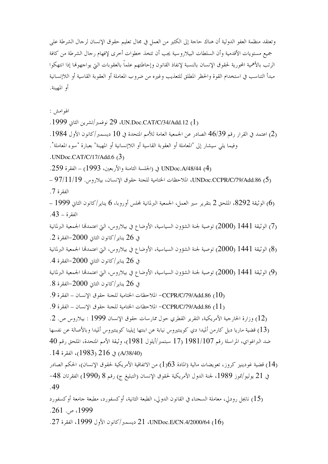وتعتقد منظمة العفو الدولية أن هناك حاجة إلى الكثير من العمل في مجال تعليم حقوق الإنسان لرجال الشرطة على جميع مستويات الأقدمية وأن السلطات البيلاروسية يجب أن تتخذ خطوات أخرى لإفهام رجال الشرطة من كافة الرتب بالأهمية المحورية لحقوق الإنسان بالنسبة لإنفاذ القانون وإحاطتهم علماً بالعقوبات التي يواجهوها إذا انتهكوا مبدأ التناسب في استخدام القوة والحظر المطلق للتعذيب وغيره من ضروب المعاملة أو العقوبة القاسية أو اللاإنسانية أو المهينة.

الهوامش :

(1) UN.Doc.CAT/C/34/Add.12، 29 نوفمبر/تشرين الثاني 1999. . (2) اعتمد في القرار رقم 46/39 الصادر عن الجمعية العامة للأمم المتحدة في 10 ديسمبر/كانون الأول 1984. وفيما يلي سيشار إلى "المعاملة أو العقوبة القاسية أو اللاإنسانية أو المهينة" بعبارة 'سوء المعاملة'. .UNDoc.CAT/C/17/Add.6 $(3)$ UNDoc.A/48/44 (4) في (الجلسة الثامنة والأربعين، 1993) – الفقرة 259. UNDoc.CCPR/C/79/Add.86 (5) الملاحظات الختامية للجنة حقوق الإنسان، بيلاروس. 97/11/19 – الفقرة 7. – 1999) الوثيقة 8292، الملحق 2 بتقرير سير العمل، الجمعية البرلمانية لمحلس أوروبا، 6 يناير/كانون الثاني 1999 –  $.43 - 5$  الفقہ ۃ (7) الوثيقة 1441 (2000) توصية لجنة الشؤون السياسية، الأوضاع في بيلاروس، التي اعتمدها الجمعية البرلمانية في 26 يناير/كانون الثابي 2000–الفقرة 2. (8) الوثيقة 1441 (2000) توصية لجنة الشؤون السياسية، الأوضاع في بيلاروس، التي اعتمدها الجمعية البرلمانية في 26 يناير /كانون الثابي 2000–الفقرة 4. (9) الوثيقة 1441 (2000) توصية لجنة الشؤون السياسية، الأوضاع في بيلاروس، التي اعتمدها الجمعية البرلمانية في 26 يناير /كانون الثاين 2000–الفقرة 8. لللاحظات الختامية للجنة حقوق الإنسان – الفقرة 9. [10] - CCPR/C/79/Add.86 . [10] - الفقرة 9. لللاحظات الختامية للجنة حقوق الإنسان – الفقرة 9. [10] - 0 - 0 (11) - 0 - 0 - 0 (13) . (12) وزارة الخارجية الأمريكية، التقرير القطري حول ممارسات حقوق الإنسان 1999 : بيلاروس ص. 2. (13) قضية ماريا ديل كارمن ألميدا دي كوينتيروس نيابة عن ابنتها إيلينا كوينتيروس ألميدا وبالأصالة عن نفسها ضد البراغواي، المراسلة رقم 1981/107 (17 سبتمبر/أيلول 1981)، وثيقة الأمم المتحدة، الملحق رقم 40 (A/38/40) في 216 (1983)، الفقرة 14. (14) قضية غودينيز كروز، تعويضات مالية (المادة 1)(1) من الاتفاقية الأمريكية لحقوق الإنسان)، الحكم الصادر في 21 يوليو/تموز 1989، لجنة الدول الأمريكية لحقوق الإنسان (التبليغ ج) رقم 8 (1990) الفقرتان 48–  $.49$ (15) نايجل رودلي، معاملة السجناء في القانون الدولي، الطبعة الثانية، أوكسفورد، مطبعة جامعة أوكسفورد .261 ص. 261. (16) UNDoc.E/CN.4/2000/64، 21 ديسمبر/كانون الأول 1999، الفقرة 27.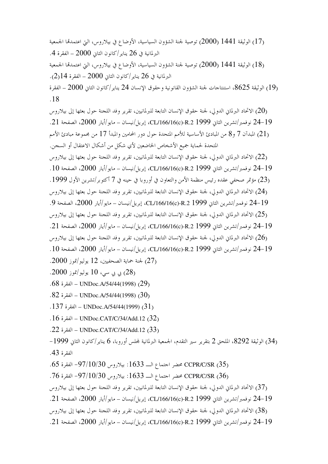(17) الوثيقة 1441 (2000) توصية لجنة الشؤون السياسية، الأوضاع في بيلاروس، التي اعتمدقما الجمعية البرلمانية في 26 يناير /كانون الثاني 2000 – الفقرة 4. (18) الوثيقة 1441 (2000) توصية لجنة الشؤون السياسية، الأوضاع في بيلاروس، التي اعتمدها الجمعية البرلمانية في 26 يناير/كانون الثاني 2000 – الفقرة 14(2). الوثيقة 8625، استنتاجات لجنة الشؤون القانونية وحقوق الإنسان 24 يناير/كانون الثاني 2000 – الفقرة ( $\sim 19$  $.18$ (20) الاتحاد البرلمان الدولي، لجنة حقوق الإنسان التابعة للبرلمانيين، تقرير وفد اللجنة حول بعثها إلى بيلاروس 24-19 نوفمبر/تشرين الثاني CL/166/16(c)-R.2 1999، إبريل/نيسان – مايو/أيار 2000، الصفحة 21. (21) المبدآن 7 و8 من المبادئ الأساسية للأمم المتحدة حول دور المحامين والمبدأ 17 من مجموعة مبادئ الأمم المتحدة لحماية جميع الأشخاص الخاضعين لأي شكلٍ من أشكال الاعتقال أو السجن. (22) الاتحاد البرلمان الدولي، لجنة حقوق الإنسان التابعة للبرلمانيين، تقرير وفد اللجنة حول بعثها إلى بيلاروس 24-19 نوفمبر/تشرين الثاني CL/166/16(c)-R.2 1999، إبريل/نيسان – مايو/أيار 2000، الصفحة 10 . (23) مؤتمر صحفي عقده رئيس منظمة الأمن والتعاون في أوروبا في حينه في 7 أكتوبر/تشرين الأول 1999. (24) الاتحاد البرلماني الدولي، لجنة حقوق الإنسان التابعة للبرلمانيين، تقرير وفد اللجنة حول بعثها إلى بيلاروس 24-19 نوفمبر/تشرين الثاني CL/166/16(c)-R.2 1999، إبريل/نيسان – مايو/أيار 2000، الصفحة 9. (25) الاتحاد البرلماني الدولي، لجنة حقوق الإنسان التابعة للبرلمانيين، تقرير وفد اللجنة حول بعثها إلى بيلاروس 24-19 نوفمبر/تشرين الثاني CL/166/16(c)-R.2 1999، إبريل/نيسان – مايو/أيار 2000، الصفحة 21. (26) الاتحاد البرلماني الدولي، لجنة حقوق الإنسان التابعة للبرلمانيين، تقرير وفد اللجنة حول بعثها إلى بيلاروس 24-19 نوفمبر/تشرين الثاني CL/166/16(c)-R.2 1999، إبريل/نيسان – مايو/أيار 2000، الصفحة 10. .27) لجنة حماية الصحفيين، 12 يوليو/تموز 2000. ى بى سى، 10 يوليو/تموز 2000.  $(28)$ .68 (29) UNDoc.A/54/44(1998) – الفقرة 68. . $82$  (30) UNDoc.A/54/44(1998) – الفقرة  $30$ . . UNDoc.A/54/44(1999)  $(31)$ . 16 UNDoc.CAT/C/34/Add.12 – الفقرة 16. .22 UNDoc.CAT/C/34/Add.12 – الفقرة 22. (34) الوثيقة 8292، الملحق 2 بتقرير سير التقدم، الجمعية البرلمانية لمحلس أوروبا، 6 يناير/كانون الثاني 1999– الفقرة 43. .65 CCPR/C/SR محضر احتماع البـ 1633: بيلاروس 97/10/30- الفقرة 65. (37) الاتحاد البرلماني الدولي، لجنة حقوق الإنسان التابعة للبرلمانيين، تقرير وفد اللجنة حول بعثها إلى بيلاروس 24-19 نوفمبر/تشرين الثاني CL/166/16(c)-R.2 1999، إبريل/نيسان – مايو/أيار 2000، الصفحة 21. (38) الاتحاد البرلماني الدولي، لجنة حقوق الإنسان التابعة للبرلمانيين، تقرير وفد اللجنة حول بعثها إلى بيلاروس 24-19 نوفمبر/تشرين الثاني CL/166/16(c)-R.2 1999، إبريل/نيسان – مايو/أيار 2000، الصفحة 21.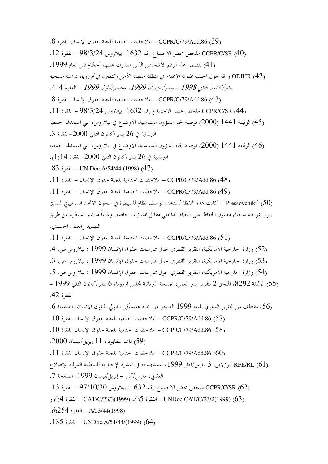. CCPR/C/79/Add.86 (39) – الملاحظات الختامية للجنة حقوق الإنسان الفقرة 8. CCPR/C/SR (40) ملخص محضر الاجتماع رقم 1632: بيلاروس 98/3/24 - الفقرة 12. (41) يتضمن هذا الرقم الأشخاص الذين صدرت عليهم أحكام قبل العام 1999. ODIHR (42) ورقة حول الخلفية *عقوبة الإعدام في منطقة منظمة الأمن والتعاون في أوروبا، دراسة مس*حية يناير/كانون الثاني 1998 – يونيو/حزيران 1999، سبتمبر/أيلول 1999 – الفقرة 4-4. . CCPR/C/79/Add.86 (43) – الملاحظات الختامية للجنة حقوق الإنسان الفقرة 8. CCPR/C/SR (44) ملخص محضر الاحتماع رقم 1632: بيلاروس 98/3/24 - الفقرة 11. (45) الوثيقة 1441 (2000) توصية لجنة الشؤون السياسية، الأوضاع في بيلاروس، التي اعتمدتما الجمعية البرلمانية في 26 يناير/كانون الثاني 2000–الفقرة 3. (46) الوثيقة 1441 (2000) توصية لجنة الشؤون السياسية، الأوضاع في بيلاروس، التي اعتمدتما الجمعية البرلمانية في 26 يناير/كانون الثاني 2000–الفقرة 14(1). . 83 - الفقرة VN Doc. A/54/44 (1998) (47) (48) CCPR/C/79/Add.86 – الملاحظات الختامية للجنة حقوق الإنسان – الفقرة 11. . CCPR/C/79/Add.86 (49) – الملاحظات الختامية للجنة حقوق الإنسان – الفقرة 11. Pressovchiki' (50) : كانت هذه اللفظة تُستخدم لوصف نظام للسيطرة في سجون الاتحاد السوفييتي السابق يتولى بموجبه سجناء معينون الحفاظ على النظام الداحلي مقابل امتيازات حاصة. وغالباً ما تتم السيطرة عن طريق التهديد والعنف الجسدي. . [5] CCPR/C/79/Add.86 – الملاحظات الختامية للجنة حقوق الإنسان – الفقرة  $11$ . (52) وزارة الخارجية الأمريكية، التقرير القطري حول ممارسات حقوق الإنسان 1999 : بيلاروس ص. 4. (53) وزارة الخارجية الأمريكية، التقرير القطري حول ممارسات حقوق الإنسان 1999 : بيلاروس ص. 3. (54) وزارة الخارجية الأمريكية، التقرير القطري حول ممارسات حقوق الإنسان 1999 : بيلاروس ص. 5. (55) الوثيقة 8292، الملحق 2 بتقرير سير العمل، الجمعية البرلمانية لمحلس أوروبا، 6 يناير/كانون الثاني 1999 – الفقرة 42. (56) مقتطف من التقرير السنوى للعام 1999 الصادر عن اتحاد هلسنكي الدولي لحقوق الإنسان، الصفحة 6. . CCPR/C/79/Add.86 (57) – الملاحظات الختامية للجنة حقوق الإنسان الفقرة 10. . CCPR/C/79/Add.86 (58) – الملاحظات الختامية للجنة حقوق الإنسان الفقرة 10. ناشا سفابودا، 11 إبريل/نيسان 2000.  $(59)$ . [60] CCPR/C/79/Add.86 – الملاحظات الختامية للجنة حقوق الإنسان الفقرة  $11$ . (61) RFE/RL نيوزلاين، 3 مارس/آذار 1999، استشهد به في النشرة الإخبارية للمنظمة الدولية للإصلاح العقابي، مارس/آذار – إبريل/نيسان 1999، الصفحة 7. (62) CCPR/C/SR ملخص محضر الاحتماع رقم 1632: بيلاروس 97/10/30 ـ الفقرة 13. (63) UNDoc.CAT/C/23/2(1999) (أ)، CAT/C/23/3(1999) – الفقرة 4(أ) و . (1998) A/53/44 – الفقرة 254(أ). . 135 (64) UNDoc.A/54/44/(1999) – الفقرة 135.